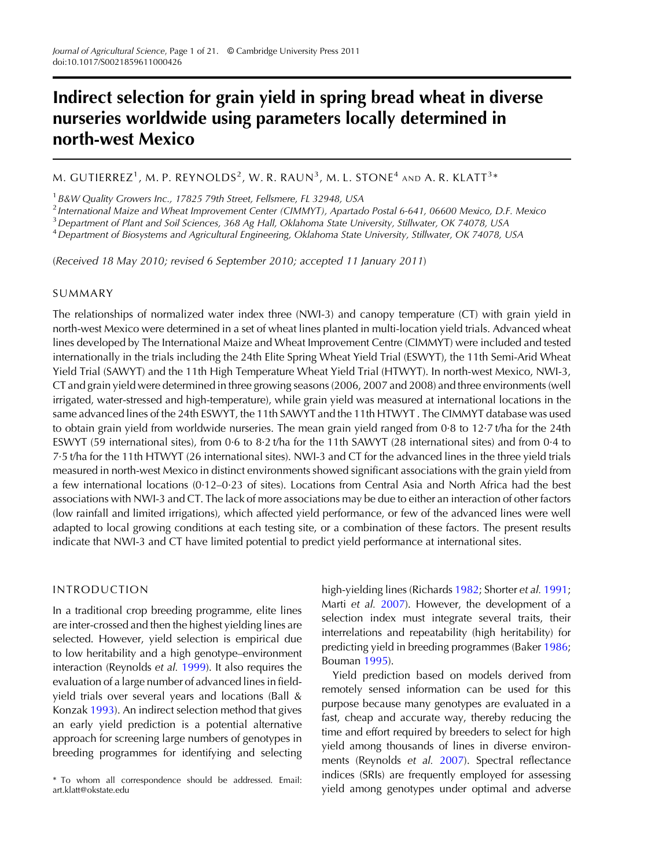# Indirect selection for grain yield in spring bread wheat in diverse nurseries worldwide using parameters locally determined in north-west Mexico

M. GUTIERREZ $^1$ , M. P. REYNOLDS $^2$ , W. R. RAUN $^3$ , M. L. STONE $^4$  and A. R. KLATT $^3\ast$ 

<sup>1</sup> B&W Quality Growers Inc., 17825 79th Street, Fellsmere, FL 32948, USA

<sup>2</sup> International Maize and Wheat Improvement Center (CIMMYT), Apartado Postal 6-641, 06600 Mexico, D.F. Mexico

<sup>3</sup> Department of Plant and Soil Sciences, 368 Ag Hall, Oklahoma State University, Stillwater, OK 74078, USA

<sup>4</sup>Department of Biosystems and Agricultural Engineering, Oklahoma State University, Stillwater, OK 74078, USA

(Received 18 May 2010; revised 6 September 2010; accepted 11 January 2011)

## SUMMARY

The relationships of normalized water index three (NWI-3) and canopy temperature (CT) with grain yield in north-west Mexico were determined in a set of wheat lines planted in multi-location yield trials. Advanced wheat lines developed by The International Maize and Wheat Improvement Centre (CIMMYT) were included and tested internationally in the trials including the 24th Elite Spring Wheat Yield Trial (ESWYT), the 11th Semi-Arid Wheat Yield Trial (SAWYT) and the 11th High Temperature Wheat Yield Trial (HTWYT). In north-west Mexico, NWI-3, CT and grain yield were determined in three growing seasons (2006, 2007 and 2008) and three environments (well irrigated, water-stressed and high-temperature), while grain yield was measured at international locations in the same advanced lines of the 24th ESWYT, the 11th SAWYT and the 11th HTWYT . The CIMMYT database was used to obtain grain yield from worldwide nurseries. The mean grain yield ranged from 0·8 to 12·7 t/ha for the 24th ESWYT (59 international sites), from 0·6 to 8·2 t/ha for the 11th SAWYT (28 international sites) and from 0·4 to 7·5 t/ha for the 11th HTWYT (26 international sites). NWI-3 and CT for the advanced lines in the three yield trials measured in north-west Mexico in distinct environments showed significant associations with the grain yield from a few international locations (0·12–0·23 of sites). Locations from Central Asia and North Africa had the best associations with NWI-3 and CT. The lack of more associations may be due to either an interaction of other factors (low rainfall and limited irrigations), which affected yield performance, or few of the advanced lines were well adapted to local growing conditions at each testing site, or a combination of these factors. The present results indicate that NWI-3 and CT have limited potential to predict yield performance at international sites.

## INTRODUCTION

In a traditional crop breeding programme, elite lines are inter-crossed and then the highest yielding lines are selected. However, yield selection is empirical due to low heritability and a high genotype–environment interaction (Reynolds et al. [1999](#page-20-0)). It also requires the evaluation of a large number of advanced lines in fieldyield trials over several years and locations (Ball & Konzak [1993\)](#page-19-0). An indirect selection method that gives an early yield prediction is a potential alternative approach for screening large numbers of genotypes in breeding programmes for identifying and selecting

high-yielding lines (Richards [1982](#page-20-0); Shorter et al. [1991](#page-20-0); Marti et al. [2007](#page-20-0)). However, the development of a selection index must integrate several traits, their interrelations and repeatability (high heritability) for predicting yield in breeding programmes (Baker [1986](#page-19-0); Bouman [1995\)](#page-19-0).

Yield prediction based on models derived from remotely sensed information can be used for this purpose because many genotypes are evaluated in a fast, cheap and accurate way, thereby reducing the time and effort required by breeders to select for high yield among thousands of lines in diverse environments (Reynolds et al. [2007](#page-20-0)). Spectral reflectance indices (SRIs) are frequently employed for assessing yield among genotypes under optimal and adverse \* To whom all correspondence should be addressed. Email:

art.klatt@okstate.edu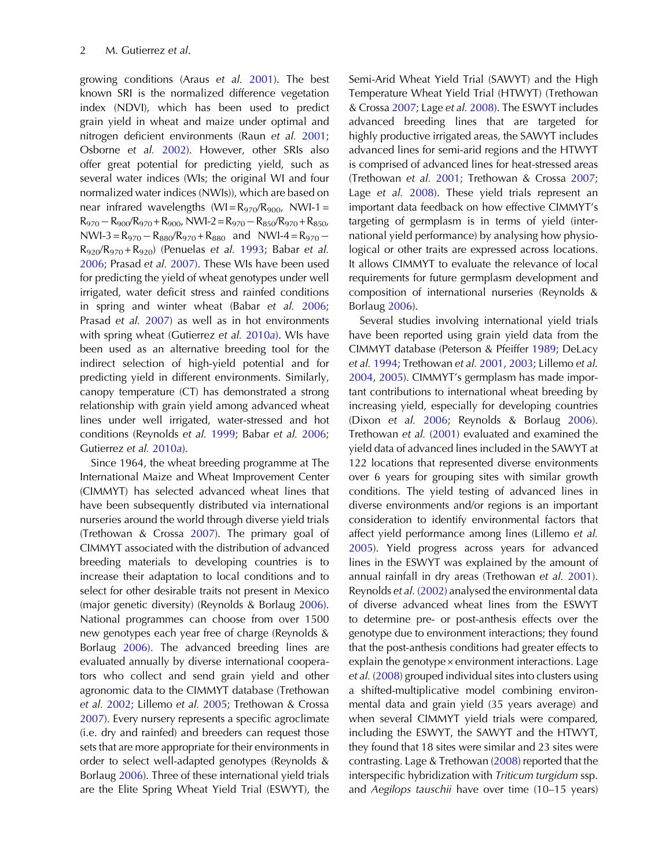growing conditions (Araus et al. [2001](#page-19-0)). The best known SRI is the normalized difference vegetation index (NDVI), which has been used to predict grain yield in wheat and maize under optimal and nitrogen deficient environments (Raun et al. [2001](#page-20-0); Osborne et al. [2002](#page-20-0)). However, other SRIs also offer great potential for predicting yield, such as several water indices (WIs; the original WI and four normalized water indices (NWIs)), which are based on near infrared wavelengths  $(WI = R_{970}/R_{900}$ , NWI-1 =  $R_{970}-R_{900}/R_{970}+R_{900}$ , NWI-2= $R_{970}-R_{850}/R_{970}+R_{850}$ , NWI-3 =  $R_{970} - R_{880}/R_{970} + R_{880}$  and NWI-4 =  $R_{970} R_{920}/R_{970} + R_{920}$  (Penuelas et al. [1993;](#page-20-0) Babar et al. [2006](#page-19-0); Prasad et al. [2007](#page-20-0)). These WIs have been used for predicting the yield of wheat genotypes under well irrigated, water deficit stress and rainfed conditions in spring and winter wheat (Babar et al. [2006](#page-19-0); Prasad et al. [2007](#page-20-0)) as well as in hot environments with spring wheat (Gutierrez et al. [2010](#page-19-0)a). WIs have been used as an alternative breeding tool for the indirect selection of high-yield potential and for predicting yield in different environments. Similarly, canopy temperature (CT) has demonstrated a strong relationship with grain yield among advanced wheat lines under well irrigated, water-stressed and hot conditions (Reynolds et al. [1999](#page-20-0); Babar et al. [2006](#page-19-0); Gutierrez et al. [2010](#page-19-0)a).

Since 1964, the wheat breeding programme at The International Maize and Wheat Improvement Center (CIMMYT) has selected advanced wheat lines that have been subsequently distributed via international nurseries around the world through diverse yield trials (Trethowan & Crossa [2007](#page-20-0)). The primary goal of CIMMYT associated with the distribution of advanced breeding materials to developing countries is to increase their adaptation to local conditions and to select for other desirable traits not present in Mexico (major genetic diversity) (Reynolds & Borlaug [2006\)](#page-20-0). National programmes can choose from over 1500 new genotypes each year free of charge (Reynolds & Borlaug [2006\)](#page-20-0). The advanced breeding lines are evaluated annually by diverse international cooperators who collect and send grain yield and other agronomic data to the CIMMYT database (Trethowan et al. [2002;](#page-20-0) Lillemo et al. [2005;](#page-20-0) Trethowan & Crossa [2007](#page-20-0)). Every nursery represents a specific agroclimate (i.e. dry and rainfed) and breeders can request those sets that are more appropriate for their environments in order to select well-adapted genotypes (Reynolds & Borlaug [2006\)](#page-20-0). Three of these international yield trials are the Elite Spring Wheat Yield Trial (ESWYT), the

Semi-Arid Wheat Yield Trial (SAWYT) and the High Temperature Wheat Yield Trial (HTWYT) (Trethowan & Crossa [2007;](#page-20-0) Lage et al. [2008\)](#page-20-0). The ESWYT includes advanced breeding lines that are targeted for highly productive irrigated areas, the SAWYT includes advanced lines for semi-arid regions and the HTWYT is comprised of advanced lines for heat-stressed areas (Trethowan et al. [2001;](#page-20-0) Trethowan & Crossa [2007](#page-20-0); Lage et al. [2008\)](#page-20-0). These yield trials represent an important data feedback on how effective CIMMYT's targeting of germplasm is in terms of yield (international yield performance) by analysing how physiological or other traits are expressed across locations. It allows CIMMYT to evaluate the relevance of local requirements for future germplasm development and composition of international nurseries (Reynolds & Borlaug [2006](#page-20-0)).

Several studies involving international yield trials have been reported using grain yield data from the CIMMYT database (Peterson & Pfeiffer [1989;](#page-20-0) DeLacy et al. [1994;](#page-19-0) Trethowan et al. [2001,](#page-20-0) [2003;](#page-20-0) Lillemo et al. [2004](#page-20-0), [2005\)](#page-20-0). CIMMYT's germplasm has made important contributions to international wheat breeding by increasing yield, especially for developing countries (Dixon et al. [2006](#page-19-0); Reynolds & Borlaug [2006\)](#page-20-0). Trethowan et al. ([2001\)](#page-20-0) evaluated and examined the yield data of advanced lines included in the SAWYT at 122 locations that represented diverse environments over 6 years for grouping sites with similar growth conditions. The yield testing of advanced lines in diverse environments and/or regions is an important consideration to identify environmental factors that affect yield performance among lines (Lillemo et al. [2005](#page-20-0)). Yield progress across years for advanced lines in the ESWYT was explained by the amount of annual rainfall in dry areas (Trethowan et al. [2001\)](#page-20-0). Reynolds et al. [\(2002](#page-20-0)) analysed the environmental data of diverse advanced wheat lines from the ESWYT to determine pre- or post-anthesis effects over the genotype due to environment interactions; they found that the post-anthesis conditions had greater effects to explain the genotype × environment interactions. Lage et al. ([2008\)](#page-20-0) grouped individual sites into clusters using a shifted-multiplicative model combining environmental data and grain yield (35 years average) and when several CIMMYT yield trials were compared, including the ESWYT, the SAWYT and the HTWYT, they found that 18 sites were similar and 23 sites were contrasting. Lage & Trethowan ([2008\)](#page-20-0) reported that the interspecific hybridization with Triticum turgidum ssp. and Aegilops tauschii have over time (10–15 years)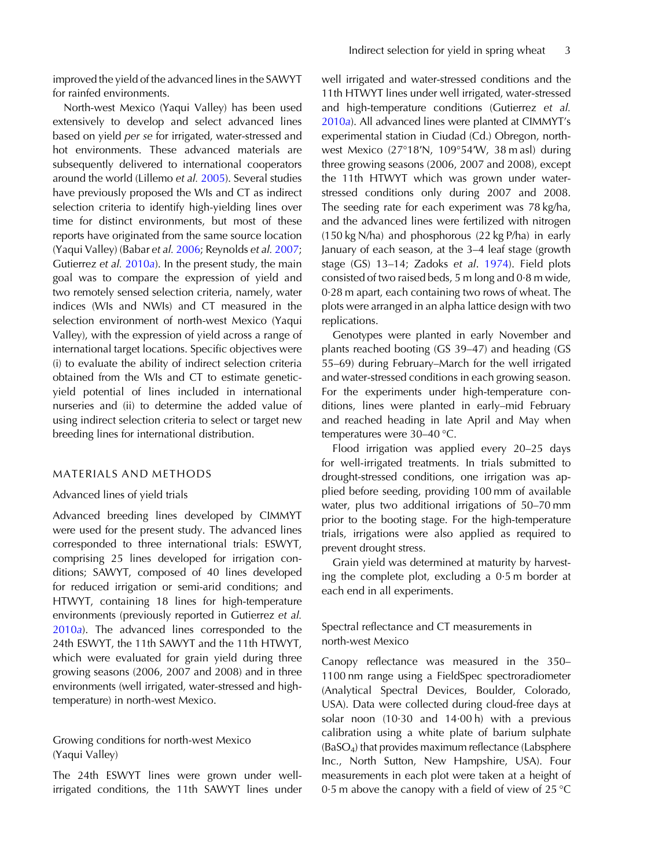North-west Mexico (Yaqui Valley) has been used extensively to develop and select advanced lines based on yield per se for irrigated, water-stressed and hot environments. These advanced materials are subsequently delivered to international cooperators around the world (Lillemo et al. [2005\)](#page-20-0). Several studies have previously proposed the WIs and CT as indirect selection criteria to identify high-yielding lines over time for distinct environments, but most of these reports have originated from the same source location (Yaqui Valley) (Babar et al. [2006](#page-19-0); Reynolds et al. [2007](#page-20-0); Gutierrez et al. [2010](#page-19-0)a). In the present study, the main goal was to compare the expression of yield and two remotely sensed selection criteria, namely, water indices (WIs and NWIs) and CT measured in the selection environment of north-west Mexico (Yaqui Valley), with the expression of yield across a range of international target locations. Specific objectives were (i) to evaluate the ability of indirect selection criteria obtained from the WIs and CT to estimate geneticyield potential of lines included in international nurseries and (ii) to determine the added value of using indirect selection criteria to select or target new breeding lines for international distribution.

## MATERIALS AND METHODS

#### Advanced lines of yield trials

Advanced breeding lines developed by CIMMYT were used for the present study. The advanced lines corresponded to three international trials: ESWYT, comprising 25 lines developed for irrigation conditions; SAWYT, composed of 40 lines developed for reduced irrigation or semi-arid conditions; and HTWYT, containing 18 lines for high-temperature environments (previously reported in Gutierrez et al. [2010](#page-19-0)a). The advanced lines corresponded to the 24th ESWYT, the 11th SAWYT and the 11th HTWYT, which were evaluated for grain yield during three growing seasons (2006, 2007 and 2008) and in three environments (well irrigated, water-stressed and hightemperature) in north-west Mexico.

## Growing conditions for north-west Mexico (Yaqui Valley)

The 24th ESWYT lines were grown under wellirrigated conditions, the 11th SAWYT lines under well irrigated and water-stressed conditions and the 11th HTWYT lines under well irrigated, water-stressed and high-temperature conditions (Gutierrez et al. [2010](#page-19-0)a). All advanced lines were planted at CIMMYT's experimental station in Ciudad (Cd.) Obregon, northwest Mexico (27°18′N, 109°54′W, 38 m asl) during three growing seasons (2006, 2007 and 2008), except the 11th HTWYT which was grown under waterstressed conditions only during 2007 and 2008. The seeding rate for each experiment was 78 kg/ha, and the advanced lines were fertilized with nitrogen (150 kg N/ha) and phosphorous (22 kg P/ha) in early January of each season, at the 3–4 leaf stage (growth stage (GS) 13–14; Zadoks et al. [1974](#page-20-0)). Field plots consisted of two raised beds, 5 m long and 0·8 m wide, 0·28 m apart, each containing two rows of wheat. The plots were arranged in an alpha lattice design with two replications.

Genotypes were planted in early November and plants reached booting (GS 39–47) and heading (GS 55–69) during February–March for the well irrigated and water-stressed conditions in each growing season. For the experiments under high-temperature conditions, lines were planted in early–mid February and reached heading in late April and May when temperatures were 30–40 °C.

Flood irrigation was applied every 20–25 days for well-irrigated treatments. In trials submitted to drought-stressed conditions, one irrigation was applied before seeding, providing 100 mm of available water, plus two additional irrigations of 50–70 mm prior to the booting stage. For the high-temperature trials, irrigations were also applied as required to prevent drought stress.

Grain yield was determined at maturity by harvesting the complete plot, excluding a 0·5 m border at each end in all experiments.

# Spectral reflectance and CT measurements in north-west Mexico

Canopy reflectance was measured in the 350– 1100 nm range using a FieldSpec spectroradiometer (Analytical Spectral Devices, Boulder, Colorado, USA). Data were collected during cloud-free days at solar noon (10·30 and 14·00 h) with a previous calibration using a white plate of barium sulphate (BaSO4) that provides maximum reflectance (Labsphere Inc., North Sutton, New Hampshire, USA). Four measurements in each plot were taken at a height of 0.5 m above the canopy with a field of view of  $25^{\circ}$ C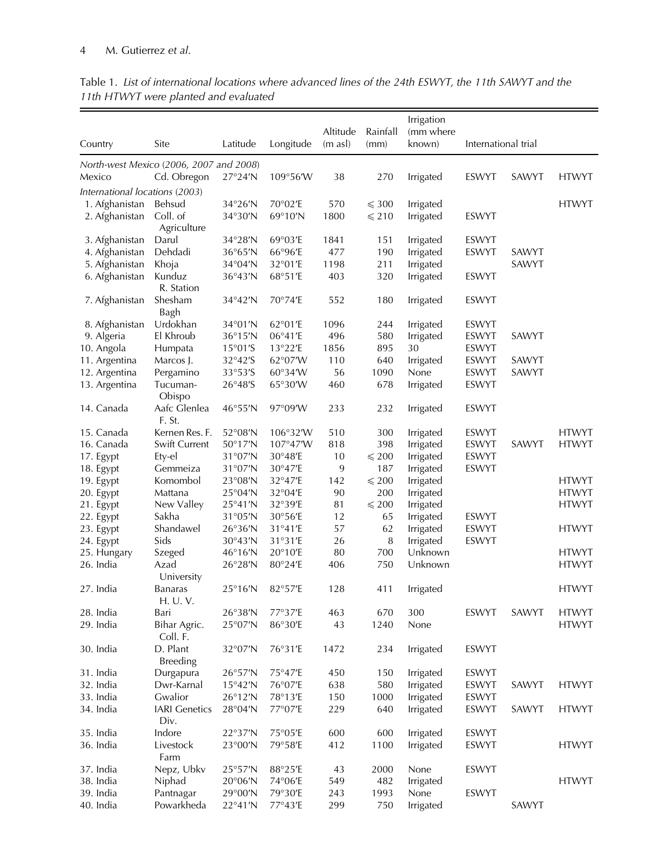|                                         |                             |                   |           |                                 |                  | Irrigation          |                     |       |              |
|-----------------------------------------|-----------------------------|-------------------|-----------|---------------------------------|------------------|---------------------|---------------------|-------|--------------|
| Country                                 | Site                        | Latitude          | Longitude | Altitude<br>$(m \text{ as } l)$ | Rainfall<br>(mm) | (mm where<br>known) | International trial |       |              |
| North-west Mexico (2006, 2007 and 2008) |                             |                   |           |                                 |                  |                     |                     |       |              |
| Mexico                                  | Cd. Obregon                 | $27°24'$ N        | 109°56'W  | 38                              | 270              | Irrigated           | ESWYT               | SAWYT | <b>HTWYT</b> |
| International locations (2003)          |                             |                   |           |                                 |                  |                     |                     |       |              |
| 1. Afghanistan                          | Behsud                      | 34°26'N           | 70°02'E   | 570                             | $\leqslant$ 300  | Irrigated           |                     |       | <b>HTWYT</b> |
| 2. Afghanistan                          | Coll. of<br>Agriculture     | 34°30'N           | 69°10'N   | 1800                            | $\leq 210$       | Irrigated           | ESWYT               |       |              |
| 3. Afghanistan                          | Darul                       | 34°28'N           | 69°03'E   | 1841                            | 151              | Irrigated           | ESWYT               |       |              |
| 4. Afghanistan                          | Dehdadi                     | 36°65'N           | 66°96'E   | 477                             | 190              | Irrigated           | <b>ESWYT</b>        | SAWYT |              |
| 5. Afghanistan                          | Khoja                       | 34°04'N           | 32°01'E   | 1198                            | 211              | Irrigated           |                     | SAWYT |              |
| 6. Afghanistan                          | Kunduz<br>R. Station        | 36°43'N           | 68°51'E   | 403                             | 320              | Irrigated           | ESWYT               |       |              |
| 7. Afghanistan                          | Shesham                     | 34°42'N           | 70°74'E   | 552                             | 180              | Irrigated           | ESWYT               |       |              |
|                                         | Bagh                        |                   |           |                                 |                  |                     |                     |       |              |
| 8. Afghanistan                          | Urdokhan                    | 34°01'N           | 62°01'E   | 1096                            | 244              | Irrigated           | ESWYT               |       |              |
| 9. Algeria                              | El Khroub                   | 36°15'N           | 06°41'E   | 496                             | 580              | Irrigated           | ESWYT               | SAWYT |              |
| 10. Angola                              | Humpata                     | $15°01'$ S        | 13°22'E   | 1856                            | 895              | 30                  | ESWYT               |       |              |
| 11. Argentina                           | Marcos J.                   | 32°42'S           | 62°07'W   | 110                             | 640              | Irrigated           | <b>ESWYT</b>        | SAWYT |              |
| 12. Argentina                           | Pergamino                   | 33°53'S           | 60°34'W   | 56                              | 1090             | None                | ESWYT               | SAWYT |              |
| 13. Argentina                           | Tucuman-<br>Obispo          | 26°48'S           | 65°30'W   | 460                             | 678              | Irrigated           | ESWYT               |       |              |
| 14. Canada                              | Aafc Glenlea<br>F. St.      | 46°55'N           | 97°09'W   | 233                             | 232              | Irrigated           | <b>ESWYT</b>        |       |              |
| 15. Canada                              | Kernen Res. F.              | 52°08'N           | 106°32'W  | 510                             | 300              | Irrigated           | ESWYT               |       | <b>HTWYT</b> |
| 16. Canada                              | Swift Current               | 50°17'N           | 107°47'W  | 818                             | 398              | Irrigated           | ESWYT               | SAWYT | <b>HTWYT</b> |
| 17. Egypt                               | Ety-el                      | 31°07'N           | 30°48'E   | 10                              | $\leqslant 200$  | Irrigated           | ESWYT               |       |              |
| 18. Egypt                               | Gemmeiza                    | 31°07'N           | 30°47'E   | 9                               | 187              | Irrigated           | ESWYT               |       |              |
| 19. Egypt                               | Komombol                    | 23°08'N           | 32°47'E   | 142                             | $\leqslant 200$  | Irrigated           |                     |       | <b>HTWYT</b> |
| 20. Egypt                               | Mattana                     | $25^{\circ}04'$ N | 32°04'E   | 90                              | 200              | Irrigated           |                     |       | <b>HTWYT</b> |
| 21. Egypt                               | New Valley                  | 25°41'N           | 32°39'E   | 81                              | $\leqslant 200$  | Irrigated           |                     |       | <b>HTWYT</b> |
| 22. Egypt                               | Sakha                       | 31°05'N           | 30°56'E   | 12                              | 65               | Irrigated           | ESWYT               |       |              |
| 23. Egypt                               | Shandawel                   | 26°36'N           | 31°41'E   | 57                              | 62               | Irrigated           | ESWYT               |       | <b>HTWYT</b> |
| 24. Egypt                               | Sids                        | 30°43'N           | 31°31'E   | 26                              | 8                | Irrigated           | ESWYT               |       |              |
| 25. Hungary                             | Szeged                      | 46°16'N           | 20°10'E   | 80                              | 700              | Unknown             |                     |       | <b>HTWYT</b> |
| 26. India                               | Azad<br>University          | 26°28'N           | 80°24'E   | 406                             | 750              | Unknown             |                     |       | <b>HTWYT</b> |
| 27. India                               | <b>Banaras</b><br>H. U. V.  | 25°16'N           | 82°57'E   | 128                             | 411              | Irrigated           |                     |       | <b>HTWYT</b> |
| 28. India                               | Bari                        | 26°38'N           | 77°37'E   | 463                             | 670              | 300                 | ESWYT               | SAWYT | <b>HTWYT</b> |
| 29. India                               | Bihar Agric.<br>Coll. F.    | 25°07'N           | 86°30'E   | 43                              | 1240             | None                |                     |       | <b>HTWYT</b> |
| 30. India                               | D. Plant<br><b>Breeding</b> | 32°07'N           | 76°31'E   | 1472                            | 234              | Irrigated           | ESWYT               |       |              |
| 31. India                               | Durgapura                   | 26°57'N           | 75°47'E   | 450                             | 150              | Irrigated           | ESWYT               |       |              |
| 32. India                               | Dwr-Karnal                  | $15°42'$ N        | 76°07'E   | 638                             | 580              | Irrigated           | ESWYT               | SAWYT | <b>HTWYT</b> |
| 33. India                               | Gwalior                     | 26°12'N           | 78°13'E   | 150                             | 1000             | Irrigated           | ESWYT               |       |              |
| 34. India                               | <b>IARI</b> Genetics        | 28°04'N           | 77°07'E   | 229                             | 640              | Irrigated           | ESWYT               | SAWYT | <b>HTWYT</b> |
|                                         | Div.                        |                   |           |                                 |                  |                     |                     |       |              |
| 35. India                               | Indore                      | 22°37'N           | 75°05'E   | 600                             | 600              | Irrigated           | ESWYT               |       |              |
| 36. India                               | Livestock<br>Farm           | 23°00'N           | 79°58'E   | 412                             | 1100             | Irrigated           | ESWYT               |       | <b>HTWYT</b> |
| 37. India                               | Nepz, Ubkv                  | 25°57'N           | 88°25'E   | 43                              | 2000             | None                | ESWYT               |       |              |
| 38. India                               | Niphad                      | 20°06'N           | 74°06'E   | 549                             | 482              | Irrigated           |                     |       | <b>HTWYT</b> |
| 39. India                               | Pantnagar                   | 29°00'N           | 79°30'E   | 243                             | 1993             | None                | ESWYT               |       |              |
| 40. India                               | Powarkheda                  | 22°41'N           | 77°43'E   | 299                             | 750              | Irrigated           |                     | SAWYT |              |

Table 1. List of international locations where advanced lines of the 24th ESWYT, the 11th SAWYT and the 11th HTWYT were planted and evaluated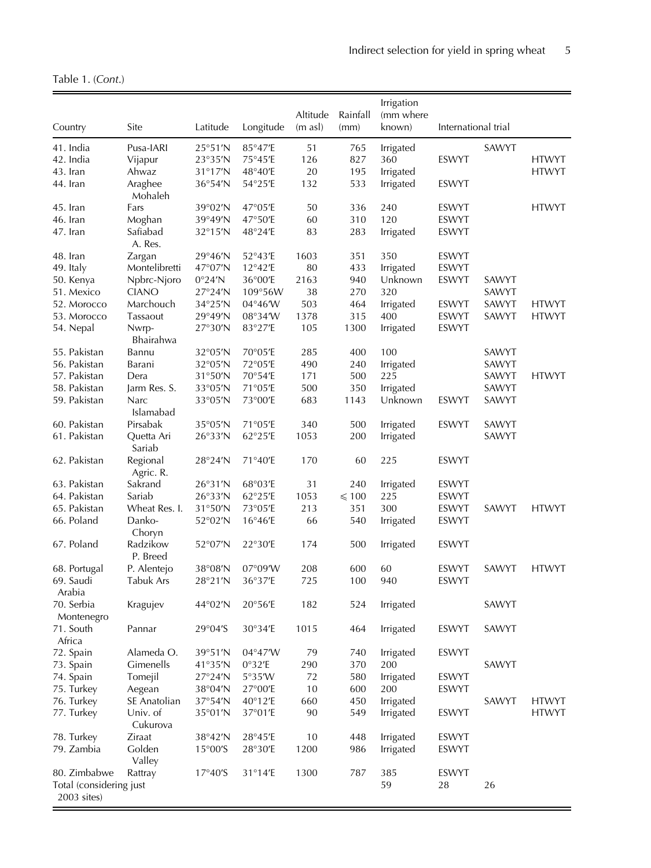<span id="page-4-0"></span>Table 1. (Cont.)

| Country                                | Site                  | Latitude                  | Longitude         | Altitude<br>$(m \text{ as } l)$ | Rainfall<br>(mm) | Irrigation<br>(mm where<br>known) | International trial |       |              |
|----------------------------------------|-----------------------|---------------------------|-------------------|---------------------------------|------------------|-----------------------------------|---------------------|-------|--------------|
| 41. India                              | Pusa-IARI             | 25°51'N                   | 85°47'E           | 51                              | 765              | Irrigated                         |                     | SAWYT |              |
| 42. India                              | Vijapur               | 23°35'N                   | 75°45'E           | 126                             | 827              | 360                               | <b>ESWYT</b>        |       | <b>HTWYT</b> |
| 43. Iran                               | Ahwaz                 | 31°17'N                   | 48°40'E           | 20                              | 195              | Irrigated                         |                     |       | <b>HTWYT</b> |
| 44. Iran                               | Araghee<br>Mohaleh    | 36°54'N                   | 54°25'E           | 132                             | 533              | Irrigated                         | ESWYT               |       |              |
| 45. Iran                               | Fars                  | 39°02'N                   | 47°05'E           | 50                              | 336              | 240                               | ESWYT               |       | <b>HTWYT</b> |
| 46. Iran                               | Moghan                | 39°49'N                   | 47°50'E           | 60                              | 310              | 120                               | ESWYT               |       |              |
| 47. Iran                               | Safiabad<br>A. Res.   | $32^{\circ}15'$ N         | 48°24'E           | 83                              | 283              | Irrigated                         | ESWYT               |       |              |
| 48. Iran                               | Zargan                | 29°46'N                   | 52°43'E           | 1603                            | 351              | 350                               | <b>ESWYT</b>        |       |              |
| 49. Italy                              | Montelibretti         | 47°07'N                   | 12°42'E           | 80                              | 433              | Irrigated                         | ESWYT               |       |              |
| 50. Kenya                              | Npbrc-Njoro           | 0°24'N                    | 36°00'E           | 2163                            | 940              | Unknown                           | ESWYT               | SAWYT |              |
| 51. Mexico                             | <b>CIANO</b>          | 27°24'N                   | 109°56W           | 38                              | 270              | 320                               |                     | SAWYT |              |
| 52. Morocco                            | Marchouch             | 34°25'N                   | 04°46'W           | 503                             | 464              | Irrigated                         | ESWYT               | SAWYT | <b>HTWYT</b> |
| 53. Morocco                            | Tassaout              | 29°49'N                   | 08°34'W           | 1378                            | 315              | 400                               | ESWYT               | SAWYT | <b>HTWYT</b> |
| 54. Nepal                              | Nwrp-<br>Bhairahwa    | 27°30'N                   | 83°27'E           | 105                             | 1300             | Irrigated                         | ESWYT               |       |              |
| 55. Pakistan                           | Bannu                 | 32°05'N                   | 70°05'E           | 285                             | 400              | 100                               |                     | SAWYT |              |
| 56. Pakistan                           | Barani                | 32°05'N                   | 72°05'E           | 490                             | 240              | Irrigated                         |                     | SAWYT |              |
| 57. Pakistan                           | Dera                  | 31°50'N                   | 70°54'E           | 171                             | 500              | 225                               |                     | SAWYT | <b>HTWYT</b> |
| 58. Pakistan                           | Jarm Res. S.          | 33°05'N                   | 71°05'E           | 500                             | 350              | Irrigated                         |                     | SAWYT |              |
| 59. Pakistan                           | Narc<br>Islamabad     | 33°05'N                   | 73°00'E           | 683                             | 1143             | Unknown                           | ESWYT               | SAWYT |              |
| 60. Pakistan                           | Pirsabak              | 35°05'N                   | 71°05'E           | 340                             | 500              | Irrigated                         | ESWYT               | SAWYT |              |
| 61. Pakistan                           | Quetta Ari<br>Sariab  | 26°33'N                   | 62°25'E           | 1053                            | 200              | Irrigated                         |                     | SAWYT |              |
| 62. Pakistan                           | Regional<br>Agric. R. | 28°24'N                   | 71°40'E           | 170                             | 60               | 225                               | <b>ESWYT</b>        |       |              |
| 63. Pakistan                           | Sakrand               | 26°31'N                   | 68°03'E           | 31                              | 240              | Irrigated                         | ESWYT               |       |              |
| 64. Pakistan                           | Sariab                | 26°33'N                   | 62°25'E           | 1053                            | $\leqslant$ 100  | 225                               | <b>ESWYT</b>        |       |              |
| 65. Pakistan                           | Wheat Res. I.         | 31°50'N                   | 73°05'E           | 213                             | 351              | 300                               | ESWYT               | SAWYT | <b>HTWYT</b> |
| 66. Poland                             | Danko-<br>Choryn      | 52°02'N                   | $16^{\circ}46'$ E | 66                              | 540              | Irrigated                         | ESWYT               |       |              |
| 67. Poland                             | Radzikow<br>P. Breed  | 52°07'N                   | 22°30'E           | 174                             | 500              | Irrigated                         | ESWYT               |       |              |
| 68. Portugal                           | P. Alentejo           | 38°08'N                   | 07°09'W           | 208                             | 600              | 60                                | <b>ESWYT</b>        | SAWYT | <b>HTWYT</b> |
| 69. Saudi<br>Arabia                    | Tabuk Ars             | 28°21'N                   | 36°37'E           | 725                             | 100              | 940                               | ESWYT               |       |              |
| 70. Serbia<br>Montenegro               | Kragujev              | 44°02'N                   | 20°56'E           | 182                             | 524              | Irrigated                         |                     | SAWYT |              |
| 71. South<br>Africa                    | Pannar                | 29°04'S                   | 30°34'E           | 1015                            | 464              | Irrigated                         | ESWYT               | SAWYT |              |
| 72. Spain                              | Alameda O.            | 39°51'N                   | 04°47'W           | 79                              | 740              | Irrigated                         | ESWYT               |       |              |
| 73. Spain                              | Gimenells             | 41°35'N                   | 0°32'E            | 290                             | 370              | 200                               |                     | SAWYT |              |
| 74. Spain                              | Tomejil               | 27°24'N                   | 5°35'W            | 72                              | 580              | Irrigated                         | ESWYT               |       |              |
| 75. Turkey                             | Aegean                | 38°04'N                   | 27°00'E           | 10                              | 600              | 200                               | <b>ESWYT</b>        |       |              |
| 76. Turkey                             | SE Anatolian          | 37°54'N                   | 40°12'E           | 660                             | 450              | Irrigated                         |                     | SAWYT | <b>HTWYT</b> |
| 77. Turkey                             | Univ. of<br>Cukurova  | 35°01'N                   | 37°01'E           | 90                              | 549              | Irrigated                         | ESWYT               |       | <b>HTWYT</b> |
| 78. Turkey                             | Ziraat                | 38°42'N                   | 28°45'E           | 10                              | 448              | Irrigated                         | ESWYT               |       |              |
| 79. Zambia                             | Golden<br>Valley      | $15^{\circ}00^{\prime}$ S | 28°30'E           | 1200                            | 986              | Irrigated                         | ESWYT               |       |              |
| 80. Zimbabwe                           | Rattray               | 17°40'S                   | 31°14'E           | 1300                            | 787              | 385                               | ESWYT               |       |              |
| Total (considering just<br>2003 sites) |                       |                           |                   |                                 |                  | 59                                | 28                  | 26    |              |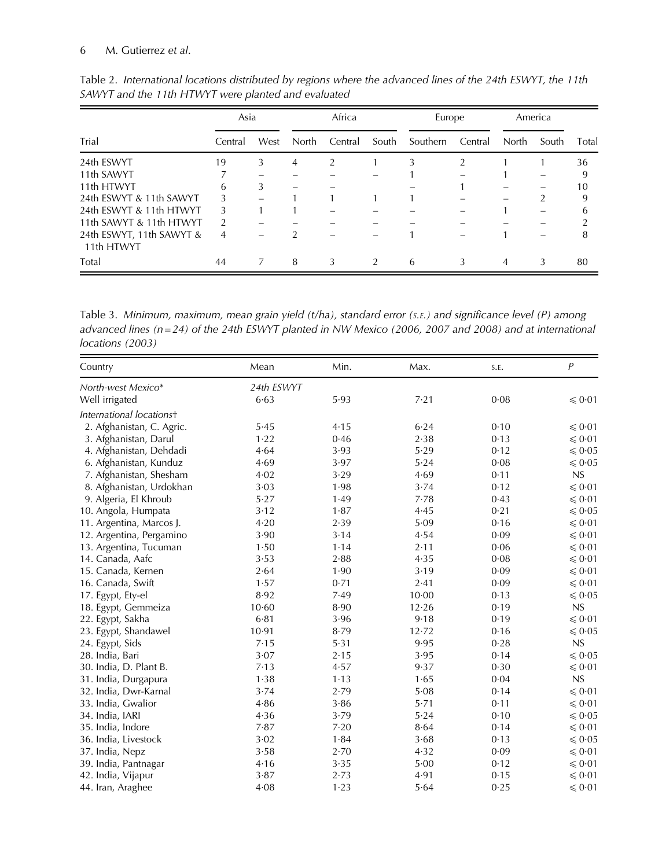|                                        |               | Asia |       | Africa  |               | Europe   |         | America |       |       |
|----------------------------------------|---------------|------|-------|---------|---------------|----------|---------|---------|-------|-------|
| Trial                                  | Central       | West | North | Central | South         | Southern | Central | North   | South | Total |
| 24th ESWYT                             | 19            | 3    | 4     | 2       |               | 3        | 2       |         |       | 36    |
| 11th SAWYT                             |               |      |       |         |               |          |         |         |       | 9     |
| 11th HTWYT                             | 6             | 3    |       |         |               |          |         |         |       | 10    |
| 24th ESWYT & 11th SAWYT                | 3             |      |       |         |               |          |         |         |       | 9     |
| 24th ESWYT & 11th HTWYT                | 3             |      |       |         |               |          |         |         |       | 6     |
| 11th SAWYT & 11th HTWYT                | $\mathcal{P}$ |      |       |         |               |          |         |         |       |       |
| 24th ESWYT, 11th SAWYT &<br>11th HTWYT | 4             |      | ำ     |         |               |          |         |         |       | 8     |
| Total                                  | 44            | 7    | 8     | 3       | $\mathcal{P}$ | 6        | 3       | 4       | 3     | 80    |

<span id="page-5-0"></span>Table 2. International locations distributed by regions where the advanced lines of the 24th ESWYT, the 11th SAWYT and the 11th HTWYT were planted and evaluated

Table 3. Minimum, maximum, mean grain yield (t/ha), standard error (S.E.) and significance level (P) among advanced lines (n=24) of the 24th ESWYT planted in NW Mexico (2006, 2007 and 2008) and at international locations (2003)

| Country                   | Mean       | Min. | Max.      | S.E. | $\boldsymbol{P}$ |
|---------------------------|------------|------|-----------|------|------------------|
| North-west Mexico*        | 24th ESWYT |      |           |      |                  |
| Well irrigated            | 6.63       | 5.93 | 7.21      | 0.08 | $\leq 0.01$      |
| International locations+  |            |      |           |      |                  |
| 2. Afghanistan, C. Agric. | 5.45       | 4.15 | 6.24      | 0.10 | $\leq 0.01$      |
| 3. Afghanistan, Darul     | 1.22       | 0.46 | 2.38      | 0.13 | $\leq 0.01$      |
| 4. Afghanistan, Dehdadi   | 4.64       | 3.93 | 5.29      | 0.12 | $\leq 0.05$      |
| 6. Afghanistan, Kunduz    | 4.69       | 3.97 | 5.24      | 0.08 | $\leqslant 0.05$ |
| 7. Afghanistan, Shesham   | 4.02       | 3.29 | 4.69      | 0.11 | NS               |
| 8. Afghanistan, Urdokhan  | 3.03       | 1.98 | 3.74      | 0.12 | $\leq 0.01$      |
| 9. Algeria, El Khroub     | 5.27       | 1.49 | 7.78      | 0.43 | $\leq 0.01$      |
| 10. Angola, Humpata       | 3.12       | 1.87 | 4.45      | 0.21 | $\leqslant 0.05$ |
| 11. Argentina, Marcos J.  | 4.20       | 2.39 | 5.09      | 0.16 | $\leq 0.01$      |
| 12. Argentina, Pergamino  | 3.90       | 3.14 | 4.54      | 0.09 | $\leqslant 0.01$ |
| 13. Argentina, Tucuman    | 1.50       | 1.14 | 2.11      | 0.06 | $\leq 0.01$      |
| 14. Canada, Aafc          | 3.53       | 2.88 | 4.35      | 0.08 | $\leqslant 0.01$ |
| 15. Canada, Kernen        | 2.64       | 1.90 | 3.19      | 0.09 | $\leqslant 0.01$ |
| 16. Canada, Swift         | 1.57       | 0.71 | 2.41      | 0.09 | $\leq 0.01$      |
| 17. Egypt, Ety-el         | 8.92       | 7.49 | $10 - 00$ | 0.13 | $\leq 0.05$      |
| 18. Egypt, Gemmeiza       | 10.60      | 8.90 | 12.26     | 0.19 | NS               |
| 22. Egypt, Sakha          | $6 - 81$   | 3.96 | 9.18      | 0.19 | $\leq 0.01$      |
| 23. Egypt, Shandawel      | 10.91      | 8.79 | 12.72     | 0.16 | $\leq 0.05$      |
| 24. Egypt, Sids           | 7.15       | 5.31 | 9.95      | 0.28 | NS               |
| 28. India, Bari           | 3.07       | 2.15 | 3.95      | 0.14 | $\leq 0.05$      |
| 30. India, D. Plant B.    | 7.13       | 4.57 | 9.37      | 0.30 | $\leq 0.01$      |
| 31. India, Durgapura      | 1.38       | 1.13 | 1.65      | 0.04 | NS               |
| 32. India, Dwr-Karnal     | 3.74       | 2.79 | 5.08      | 0.14 | $\leq 0.01$      |
| 33. India, Gwalior        | 4.86       | 3.86 | 5.71      | 0.11 | $\leq 0.01$      |
| 34. India, IARI           | 4.36       | 3.79 | 5.24      | 0.10 | $\leqslant 0.05$ |
| 35. India, Indore         | 7.87       | 7.20 | 8.64      | 0.14 | $\leq 0.01$      |
| 36. India, Livestock      | 3.02       | 1.84 | 3.68      | 0.13 | $\leq 0.05$      |
| 37. India, Nepz           | 3.58       | 2.70 | 4.32      | 0.09 | $\leq 0.01$      |
| 39. India, Pantnagar      | 4.16       | 3.35 | 5.00      | 0.12 | $\leq 0.01$      |
| 42. India, Vijapur        | 3.87       | 2.73 | 4.91      | 0.15 | $\leq 0.01$      |
| 44. Iran, Araghee         | $4 - 08$   | 1.23 | 5.64      | 0.25 | $\leq 0.01$      |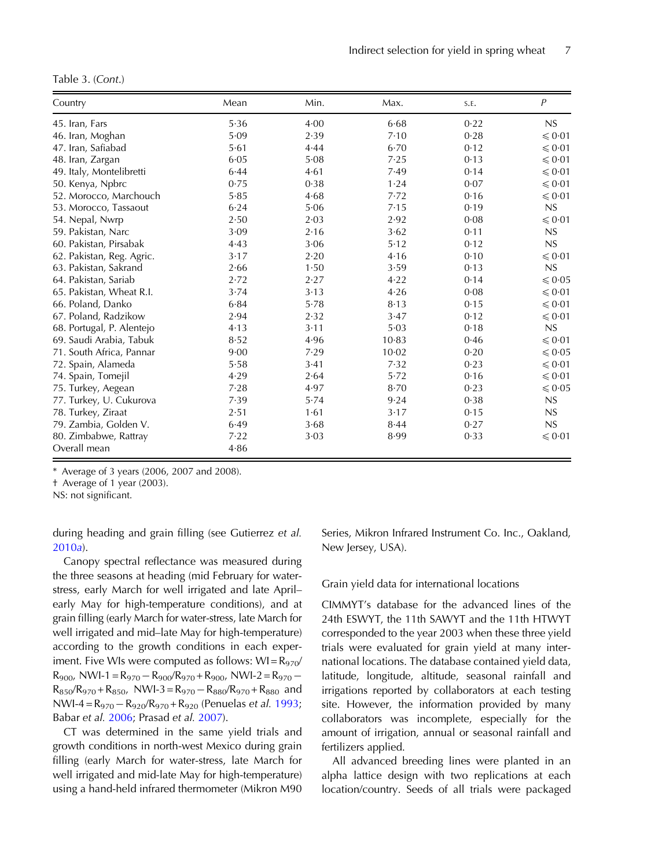<span id="page-6-0"></span>Table 3. (Cont.)

| Country                   | Mean | Min. | Max.      | S.E. | $\boldsymbol{P}$ |
|---------------------------|------|------|-----------|------|------------------|
| 45. Iran, Fars            | 5.36 | 4.00 | 6.68      | 0.22 | NS               |
| 46. Iran, Moghan          | 5.09 | 2.39 | 7.10      | 0.28 | $\leq 0.01$      |
| 47. Iran, Safiabad        | 5.61 | 4.44 | 6.70      | 0.12 | $\leq 0.01$      |
| 48. Iran, Zargan          | 6.05 | 5.08 | 7.25      | 0.13 | $\leq 0.01$      |
| 49. Italy, Montelibretti  | 6.44 | 4.61 | 7.49      | 0.14 | $\leq 0.01$      |
| 50. Kenya, Npbrc          | 0.75 | 0.38 | 1.24      | 0.07 | $\leq 0.01$      |
| 52. Morocco, Marchouch    | 5.85 | 4.68 | 7.72      | 0.16 | $\leq 0.01$      |
| 53. Morocco, Tassaout     | 6.24 | 5.06 | 7.15      | 0.19 | NS               |
| 54. Nepal, Nwrp           | 2.50 | 2.03 | 2.92      | 0.08 | $\leq 0.01$      |
| 59. Pakistan, Narc        | 3.09 | 2.16 | 3.62      | 0.11 | NS               |
| 60. Pakistan, Pirsabak    | 4.43 | 3.06 | 5.12      | 0.12 | NS               |
| 62. Pakistan, Reg. Agric. | 3.17 | 2.20 | 4.16      | 0.10 | $\leqslant 0.01$ |
| 63. Pakistan, Sakrand     | 2.66 | 1.50 | 3.59      | 0.13 | NS               |
| 64. Pakistan, Sariab      | 2.72 | 2.27 | 4.22      | 0.14 | $\leqslant 0.05$ |
| 65. Pakistan, Wheat R.I.  | 3.74 | 3.13 | 4.26      | 0.08 | $\leq 0.01$      |
| 66. Poland, Danko         | 6.84 | 5.78 | 8.13      | 0.15 | $\leq 0.01$      |
| 67. Poland, Radzikow      | 2.94 | 2.32 | 3.47      | 0.12 | $\leqslant 0.01$ |
| 68. Portugal, P. Alentejo | 4.13 | 3.11 | 5.03      | 0.18 | NS               |
| 69. Saudi Arabia, Tabuk   | 8.52 | 4.96 | 10.83     | 0.46 | $\leq 0.01$      |
| 71. South Africa, Pannar  | 9.00 | 7.29 | $10 - 02$ | 0.20 | $\leq 0.05$      |
| 72. Spain, Alameda        | 5.58 | 3.41 | 7.32      | 0.23 | $\leq 0.01$      |
| 74. Spain, Tomejil        | 4.29 | 2.64 | 5.72      | 0.16 | $\leq 0.01$      |
| 75. Turkey, Aegean        | 7.28 | 4.97 | 8.70      | 0.23 | $\leq 0.05$      |
| 77. Turkey, U. Cukurova   | 7.39 | 5.74 | 9.24      | 0.38 | NS               |
| 78. Turkey, Ziraat        | 2.51 | 1.61 | 3.17      | 0.15 | NS               |
| 79. Zambia, Golden V.     | 6.49 | 3.68 | 8.44      | 0.27 | NS               |
| 80. Zimbabwe, Rattray     | 7.22 | 3.03 | 8.99      | 0.33 | $\leq 0.01$      |
| Overall mean              | 4.86 |      |           |      |                  |

\* Average of 3 years (2006, 2007 and 2008).

† Average of 1 year (2003).

NS: not significant.

during heading and grain filling (see Gutierrez et al. [2010](#page-19-0)a).

Canopy spectral reflectance was measured during the three seasons at heading (mid February for waterstress, early March for well irrigated and late April– early May for high-temperature conditions), and at grain filling (early March for water-stress, late March for well irrigated and mid–late May for high-temperature) according to the growth conditions in each experiment. Five WIs were computed as follows:  $WI = R_{970}/$  $R_{900}$ , NWI-1 =  $R_{970} - R_{900} / R_{970} + R_{900}$ , NWI-2 =  $R_{970}$  - $R_{850}/R_{970}$  +  $R_{850}$ , NWI-3 =  $R_{970}$  –  $R_{880}/R_{970}$  +  $R_{880}$  and NWI-4 = R<sub>970</sub> – R<sub>920</sub>/R<sub>970</sub> + R<sub>920</sub> (Penuelas *et al.* [1993](#page-20-0); Babar et al. [2006](#page-19-0); Prasad et al. [2007\)](#page-20-0).

CT was determined in the same yield trials and growth conditions in north-west Mexico during grain filling (early March for water-stress, late March for well irrigated and mid-late May for high-temperature) using a hand-held infrared thermometer (Mikron M90 Series, Mikron Infrared Instrument Co. Inc., Oakland, New Jersey, USA).

#### Grain yield data for international locations

CIMMYT's database for the advanced lines of the 24th ESWYT, the 11th SAWYT and the 11th HTWYT corresponded to the year 2003 when these three yield trials were evaluated for grain yield at many international locations. The database contained yield data, latitude, longitude, altitude, seasonal rainfall and irrigations reported by collaborators at each testing site. However, the information provided by many collaborators was incomplete, especially for the amount of irrigation, annual or seasonal rainfall and fertilizers applied.

All advanced breeding lines were planted in an alpha lattice design with two replications at each location/country. Seeds of all trials were packaged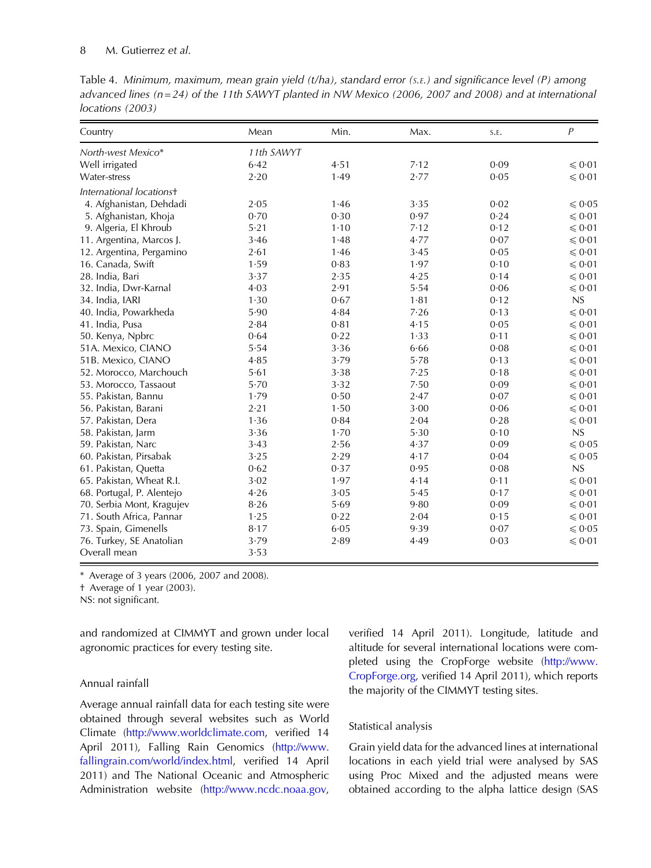## 8 M. Gutierrez et al.

Table 4. Minimum, maximum, mean grain yield (t/ha), standard error (S.E.) and significance level (P) among advanced lines ( $n = 24$ ) of the 11th SAWYT planted in NW Mexico (2006, 2007 and 2008) and at international locations (2003)

| Country                   | Mean       | Min. | Max. | S.E. | $\boldsymbol{P}$ |
|---------------------------|------------|------|------|------|------------------|
| North-west Mexico*        | 11th SAWYT |      |      |      |                  |
| Well irrigated            | 6.42       | 4.51 | 7.12 | 0.09 | $\leq 0.01$      |
| Water-stress              | 2.20       | 1.49 | 2.77 | 0.05 | $\leq 0.01$      |
| International locations+  |            |      |      |      |                  |
| 4. Afghanistan, Dehdadi   | 2.05       | 1.46 | 3.35 | 0.02 | $\leq 0.05$      |
| 5. Afghanistan, Khoja     | 0.70       | 0.30 | 0.97 | 0.24 | $\leq 0.01$      |
| 9. Algeria, El Khroub     | 5.21       | 1.10 | 7.12 | 0.12 | $\leq 0.01$      |
| 11. Argentina, Marcos J.  | 3.46       | 1.48 | 4.77 | 0.07 | $\leq 0.01$      |
| 12. Argentina, Pergamino  | 2.61       | 1.46 | 3.45 | 0.05 | $\leq 0.01$      |
| 16. Canada, Swift         | 1.59       | 0.83 | 1.97 | 0.10 | $\leq 0.01$      |
| 28. India, Bari           | 3.37       | 2.35 | 4.25 | 0.14 | $\leq 0.01$      |
| 32. India, Dwr-Karnal     | 4.03       | 2.91 | 5.54 | 0.06 | $\leq 0.01$      |
| 34. India, IARI           | 1.30       | 0.67 | 1.81 | 0.12 | NS               |
| 40. India, Powarkheda     | 5.90       | 4.84 | 7.26 | 0.13 | $\leq 0.01$      |
| 41. India, Pusa           | 2.84       | 0.81 | 4.15 | 0.05 | $\leq 0.01$      |
| 50. Kenya, Npbrc          | 0.64       | 0.22 | 1.33 | 0.11 | $\leq 0.01$      |
| 51A. Mexico, CIANO        | 5.54       | 3.36 | 6.66 | 0.08 | $\leq 0.01$      |
| 51B. Mexico, CIANO        | 4.85       | 3.79 | 5.78 | 0.13 | $\leq 0.01$      |
| 52. Morocco, Marchouch    | 5.61       | 3.38 | 7.25 | 0.18 | $\leq 0.01$      |
| 53. Morocco, Tassaout     | 5.70       | 3.32 | 7.50 | 0.09 | $\leq 0.01$      |
| 55. Pakistan, Bannu       | 1.79       | 0.50 | 2.47 | 0.07 | $\leqslant 0.01$ |
| 56. Pakistan, Barani      | 2.21       | 1.50 | 3.00 | 0.06 | $\leq 0.01$      |
| 57. Pakistan, Dera        | 1.36       | 0.84 | 2.04 | 0.28 | $\leq 0.01$      |
| 58. Pakistan, Jarm        | 3.36       | 1.70 | 5.30 | 0.10 | NS               |
| 59. Pakistan, Narc        | 3.43       | 2.56 | 4.37 | 0.09 | $\leqslant 0.05$ |
| 60. Pakistan, Pirsabak    | 3.25       | 2.29 | 4.17 | 0.04 | $\leq 0.05$      |
| 61. Pakistan, Quetta      | 0.62       | 0.37 | 0.95 | 0.08 | NS               |
| 65. Pakistan, Wheat R.I.  | 3.02       | 1.97 | 4.14 | 0.11 | $\leq 0.01$      |
| 68. Portugal, P. Alentejo | 4.26       | 3.05 | 5.45 | 0.17 | $\leq 0.01$      |
| 70. Serbia Mont, Kragujev | 8.26       | 5.69 | 9.80 | 0.09 | $\leq 0.01$      |
| 71. South Africa, Pannar  | 1.25       | 0.22 | 2.04 | 0.15 | $\leq 0.01$      |
| 73. Spain, Gimenells      | 8.17       | 6.05 | 9.39 | 0.07 | $\leq 0.05$      |
| 76. Turkey, SE Anatolian  | 3.79       | 2.89 | 4.49 | 0.03 | $\leq 0.01$      |
| Overall mean              | 3.53       |      |      |      |                  |

\* Average of 3 years (2006, 2007 and 2008).

† Average of 1 year (2003).

NS: not significant.

and randomized at CIMMYT and grown under local agronomic practices for every testing site.

## Annual rainfall

Average annual rainfall data for each testing site were obtained through several websites such as World Climate [\(http://www.worldclimate.com](http://www.worldclimate.com), verified 14 April 2011), Falling Rain Genomics ([http://www.](http://www.fallingrain.com/world/index.html) [fallingrain.com/world/index.html,](http://www.fallingrain.com/world/index.html) verified 14 April 2011) and The National Oceanic and Atmospheric Administration website [\(http://www.ncdc.noaa.gov](http://www.ncdc.noaa.gov), verified 14 April 2011). Longitude, latitude and altitude for several international locations were completed using the CropForge website ([http://www.](http://www.CropForge.org) [CropForge.org](http://www.CropForge.org), verified 14 April 2011), which reports the majority of the CIMMYT testing sites.

## Statistical analysis

Grain yield data for the advanced lines at international locations in each yield trial were analysed by SAS using Proc Mixed and the adjusted means were obtained according to the alpha lattice design (SAS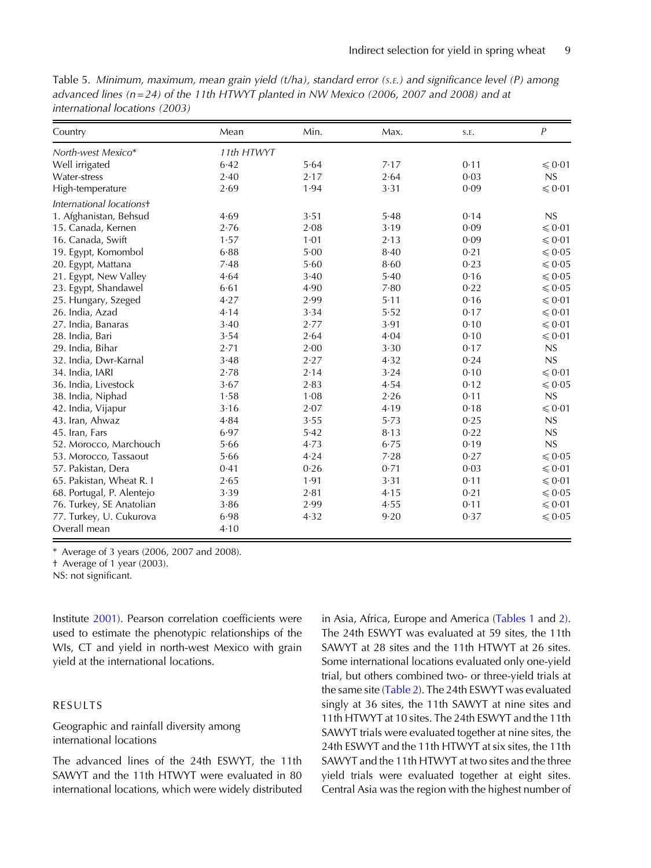| Table 5. Minimum, maximum, mean grain yield (t/ha), standard error (s. .) and significance level (P) among |  |
|------------------------------------------------------------------------------------------------------------|--|
| advanced lines ( $n=24$ ) of the 11th HTWYT planted in NW Mexico (2006, 2007 and 2008) and at              |  |
| international locations (2003)                                                                             |  |

| Country                   | Mean       | Min. | Max. | S.E. | $\overline{P}$ |
|---------------------------|------------|------|------|------|----------------|
| North-west Mexico*        | 11th HTWYT |      |      |      |                |
| Well irrigated            | 6.42       | 5.64 | 7.17 | 0.11 | $\leq 0.01$    |
| Water-stress              | 2.40       | 2.17 | 2.64 | 0.03 | NS             |
| High-temperature          | 2.69       | 1.94 | 3.31 | 0.09 | $\leq 0.01$    |
| International locations+  |            |      |      |      |                |
| 1. Afghanistan, Behsud    | 4.69       | 3.51 | 5.48 | 0.14 | NS             |
| 15. Canada, Kernen        | 2.76       | 2.08 | 3.19 | 0.09 | $\leq 0.01$    |
| 16. Canada, Swift         | 1.57       | 1.01 | 2.13 | 0.09 | $\leq 0.01$    |
| 19. Egypt, Komombol       | 6.88       | 5.00 | 8.40 | 0.21 | $\leq 0.05$    |
| 20. Egypt, Mattana        | 7.48       | 5.60 | 8.60 | 0.23 | $\leq 0.05$    |
| 21. Egypt, New Valley     | 4.64       | 3.40 | 5.40 | 0.16 | $\leq 0.05$    |
| 23. Egypt, Shandawel      | 6.61       | 4.90 | 7.80 | 0.22 | $\leq 0.05$    |
| 25. Hungary, Szeged       | 4.27       | 2.99 | 5.11 | 0.16 | $\leq 0.01$    |
| 26. India, Azad           | 4.14       | 3.34 | 5.52 | 0.17 | $\leq 0.01$    |
| 27. India, Banaras        | 3.40       | 2.77 | 3.91 | 0.10 | $\leq 0.01$    |
| 28. India, Bari           | 3.54       | 2.64 | 4.04 | 0.10 | $\leq 0.01$    |
| 29. India, Bihar          | 2.71       | 2.00 | 3.30 | 0.17 | NS             |
| 32. India, Dwr-Karnal     | 3.48       | 2.27 | 4.32 | 0.24 | NS             |
| 34. India, IARI           | 2.78       | 2.14 | 3.24 | 0.10 | $\leq 0.01$    |
| 36. India, Livestock      | 3.67       | 2.83 | 4.54 | 0.12 | $\leq 0.05$    |
| 38. India, Niphad         | 1.58       | 1.08 | 2.26 | 0.11 | NS             |
| 42. India, Vijapur        | 3.16       | 2.07 | 4.19 | 0.18 | $\leq 0.01$    |
| 43. Iran, Ahwaz           | 4.84       | 3.55 | 5.73 | 0.25 | NS             |
| 45. Iran, Fars            | 6.97       | 5.42 | 8.13 | 0.22 | NS             |
| 52. Morocco, Marchouch    | 5.66       | 4.73 | 6.75 | 0.19 | NS             |
| 53. Morocco, Tassaout     | 5.66       | 4.24 | 7.28 | 0.27 | $\leq 0.05$    |
| 57. Pakistan, Dera        | 0.41       | 0.26 | 0.71 | 0.03 | $\leq 0.01$    |
| 65. Pakistan, Wheat R. I  | 2.65       | 1.91 | 3.31 | 0.11 | $\leq 0.01$    |
| 68. Portugal, P. Alentejo | 3.39       | 2.81 | 4.15 | 0.21 | $\leq 0.05$    |
| 76. Turkey, SE Anatolian  | 3.86       | 2.99 | 4.55 | 0.11 | $\leq 0.01$    |
| 77. Turkey, U. Cukurova   | 6.98       | 4.32 | 9.20 | 0.37 | $\leq 0.05$    |
| Overall mean              | 4.10       |      |      |      |                |

\* Average of 3 years (2006, 2007 and 2008).

† Average of 1 year (2003).

NS: not significant.

Institute [2001](#page-20-0)). Pearson correlation coefficients were used to estimate the phenotypic relationships of the WIs, CT and yield in north-west Mexico with grain yield at the international locations.

#### RESULTS

## Geographic and rainfall diversity among international locations

The advanced lines of the 24th ESWYT, the 11th SAWYT and the 11th HTWYT were evaluated in 80 international locations, which were widely distributed

in Asia, Africa, Europe and America [\(Tables 1](#page-4-0) and [2\)](#page-5-0). The 24th ESWYT was evaluated at 59 sites, the 11th SAWYT at 28 sites and the 11th HTWYT at 26 sites. Some international locations evaluated only one-yield trial, but others combined two- or three-yield trials at the same site ([Table 2\)](#page-5-0). The 24th ESWYT was evaluated singly at 36 sites, the 11th SAWYT at nine sites and 11th HTWYT at 10 sites. The 24th ESWYT and the 11th SAWYT trials were evaluated together at nine sites, the 24th ESWYT and the 11th HTWYT at six sites, the 11th SAWYT and the 11th HTWYT at two sites and the three yield trials were evaluated together at eight sites. Central Asia was the region with the highest number of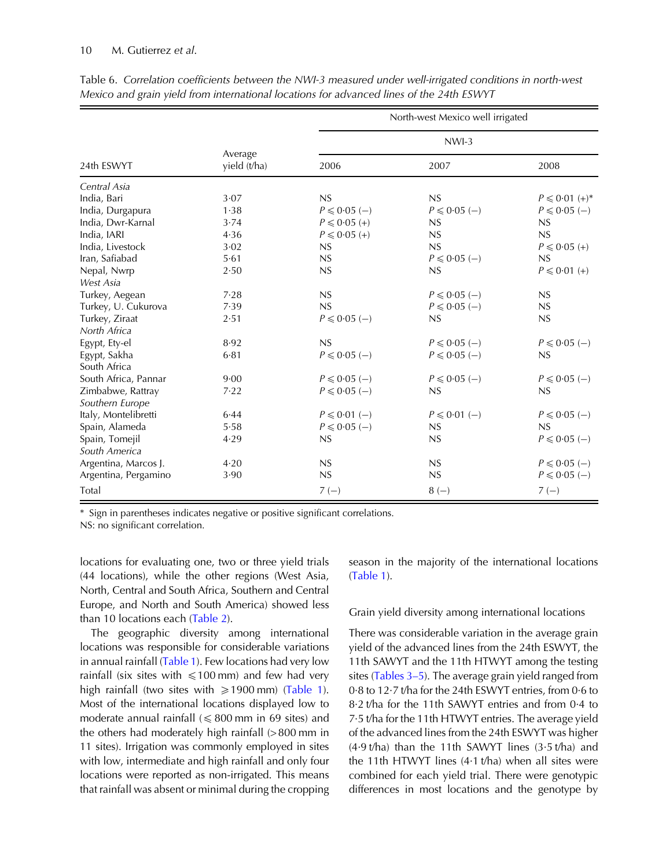#### <span id="page-9-0"></span>10 M. Gutierrez et al.

|                      |                         |                   | North-west Mexico well irrigated |                      |  |  |
|----------------------|-------------------------|-------------------|----------------------------------|----------------------|--|--|
|                      |                         | $NWI-3$           |                                  |                      |  |  |
| 24th ESWYT           | Average<br>yield (t/ha) | 2006              | 2007                             | 2008                 |  |  |
| Central Asia         |                         |                   |                                  |                      |  |  |
| India, Bari          | 3.07                    | NS                | NS                               | $P \le 0.01 (+)^{*}$ |  |  |
| India, Durgapura     | 1.38                    | $P \leq 0.05$ (-) | $P \le 0.05$ (-)                 | $P \le 0.05$ (-)     |  |  |
| India, Dwr-Karnal    | 3.74                    | $P \le 0.05 (+)$  | NS                               | NS                   |  |  |
| India, IARI          | 4.36                    | $P \le 0.05 (+)$  | NS                               | NS                   |  |  |
| India, Livestock     | 3.02                    | NS                | NS                               | $P \le 0.05 (+)$     |  |  |
| Iran, Safiabad       | 5.61                    | NS                | $P \le 0.05$ (-)                 | NS                   |  |  |
| Nepal, Nwrp          | 2.50                    | NS                | NS                               | $P \le 0.01 (+)$     |  |  |
| West Asia            |                         |                   |                                  |                      |  |  |
| Turkey, Aegean       | 7.28                    | NS                | $P \le 0.05$ (-)                 | NS                   |  |  |
| Turkey, U. Cukurova  | 7.39                    | NS                | $P \le 0.05$ (-)                 | NS                   |  |  |
| Turkey, Ziraat       | 2.51                    | $P \le 0.05$ (-)  | NS                               | NS                   |  |  |
| North Africa         |                         |                   |                                  |                      |  |  |
| Egypt, Ety-el        | 8.92                    | NS                | $P \le 0.05$ (-)                 | $P \le 0.05$ (-)     |  |  |
| Egypt, Sakha         | $6 - 81$                | $P \le 0.05$ (-)  | $P \le 0.05$ (-)                 | NS                   |  |  |
| South Africa         |                         |                   |                                  |                      |  |  |
| South Africa, Pannar | 9.00                    | $P \le 0.05$ (-)  | $P \leq 0.05$ (-)                | $P \leq 0.05$ (-)    |  |  |
| Zimbabwe, Rattray    | 7.22                    | $P \le 0.05$ (-)  | NS                               | NS                   |  |  |
| Southern Europe      |                         |                   |                                  |                      |  |  |
| Italy, Montelibretti | 6.44                    | $P \le 0.01$ (-)  | $P \le 0.01$ (-)                 | $P \le 0.05$ (-)     |  |  |
| Spain, Alameda       | 5.58                    | $P \le 0.05$ (-)  | NS                               | NS                   |  |  |
| Spain, Tomejil       | 4.29                    | NS                | NS                               | $P \leq 0.05$ (-)    |  |  |
| South America        |                         |                   |                                  |                      |  |  |
| Argentina, Marcos J. | 4.20                    | NS                | NS                               | $P \le 0.05$ (-)     |  |  |
| Argentina, Pergamino | 3.90                    | NS                | NS                               | $P \leq 0.05$ (-)    |  |  |
| Total                |                         | $7(-)$            | $8(-)$                           | $7(-)$               |  |  |

Table 6. Correlation coefficients between the NWI-3 measured under well-irrigated conditions in north-west Mexico and grain yield from international locations for advanced lines of the 24th ESWYT

\* Sign in parentheses indicates negative or positive significant correlations.

NS: no significant correlation.

locations for evaluating one, two or three yield trials (44 locations), while the other regions (West Asia, North, Central and South Africa, Southern and Central Europe, and North and South America) showed less than 10 locations each ([Table 2\)](#page-5-0).

The geographic diversity among international locations was responsible for considerable variations in annual rainfall ([Table 1\)](#page-4-0). Few locations had very low rainfall (six sites with  $\leq 100$  mm) and few had very high rainfall (two sites with  $\geq 1900$  mm) ([Table 1\)](#page-4-0). Most of the international locations displayed low to moderate annual rainfall ( $\leq 800$  mm in 69 sites) and the others had moderately high rainfall (> 800 mm in 11 sites). Irrigation was commonly employed in sites with low, intermediate and high rainfall and only four locations were reported as non-irrigated. This means that rainfall was absent or minimal during the cropping

season in the majority of the international locations ([Table 1\)](#page-4-0).

## Grain yield diversity among international locations

There was considerable variation in the average grain yield of the advanced lines from the 24th ESWYT, the 11th SAWYT and the 11th HTWYT among the testing sites [\(Tables 3](#page-6-0)–5). The average grain yield ranged from 0·8 to 12·7 t/ha for the 24th ESWYT entries, from 0·6 to 8·2 t/ha for the 11th SAWYT entries and from 0·4 to 7·5 t/ha for the 11th HTWYT entries. The average yield of the advanced lines from the 24th ESWYT was higher  $(4.9 t/ha)$  than the 11th SAWYT lines  $(3.5 t/ha)$  and the 11th HTWYT lines (4·1 t/ha) when all sites were combined for each yield trial. There were genotypic differences in most locations and the genotype by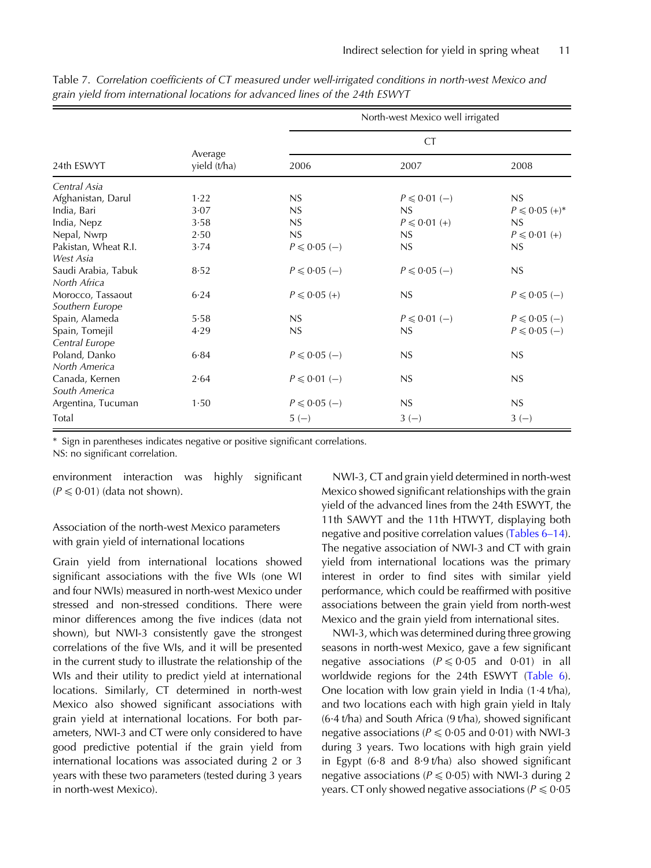|                      |                         | North-west Mexico well irrigated |                   |                      |  |  |
|----------------------|-------------------------|----------------------------------|-------------------|----------------------|--|--|
|                      |                         |                                  | <b>CT</b>         |                      |  |  |
| 24th ESWYT           | Average<br>yield (t/ha) | 2006                             | 2007              | 2008                 |  |  |
| Central Asia         |                         |                                  |                   |                      |  |  |
| Afghanistan, Darul   | 1.22                    | NS                               | $P \le 0.01$ (-)  | NS                   |  |  |
| India, Bari          | 3.07                    | NS                               | NS                | $P \le 0.05 (+)^{*}$ |  |  |
| India, Nepz          | 3.58                    | NS                               | $P \le 0.01 (+)$  | NS                   |  |  |
| Nepal, Nwrp          | 2.50                    | NS                               | NS                | $P \le 0.01 (+)$     |  |  |
| Pakistan, Wheat R.I. | 3.74                    | $P \leq 0.05$ (-)                | NS                | NS                   |  |  |
| West Asia            |                         |                                  |                   |                      |  |  |
| Saudi Arabia, Tabuk  | 8.52                    | $P \leq 0.05$ (-)                | $P \leq 0.05$ (-) | NS                   |  |  |
| North Africa         |                         |                                  |                   |                      |  |  |
| Morocco, Tassaout    | 6.24                    | $P \le 0.05 (+)$                 | NS                | $P \le 0.05$ (-)     |  |  |
| Southern Europe      |                         |                                  |                   |                      |  |  |
| Spain, Alameda       | 5.58                    | NS                               | $P \le 0.01$ (-)  | $P \le 0.05$ (-)     |  |  |
| Spain, Tomejil       | 4.29                    | NS                               | NS                | $P \le 0.05$ (-)     |  |  |
| Central Europe       |                         |                                  |                   |                      |  |  |
| Poland, Danko        | 6.84                    | $P \le 0.05$ (-)                 | NS                | NS                   |  |  |
| North America        |                         |                                  |                   |                      |  |  |
| Canada, Kernen       | 2.64                    | $P \le 0.01$ (-)                 | NS                | NS                   |  |  |
| South America        |                         |                                  |                   |                      |  |  |
| Argentina, Tucuman   | 1.50                    | $P \le 0.05$ (-)                 | NS                | NS                   |  |  |
| Total                |                         | $5(-)$                           | $3(-)$            | $3(-)$               |  |  |

<span id="page-10-0"></span>Table 7. Correlation coefficients of CT measured under well-irrigated conditions in north-west Mexico and grain yield from international locations for advanced lines of the 24th ESWYT

\* Sign in parentheses indicates negative or positive significant correlations.

NS: no significant correlation.

environment interaction was highly significant  $(P \le 0.01)$  (data not shown).

# Association of the north-west Mexico parameters with grain yield of international locations

Grain yield from international locations showed significant associations with the five WIs (one WI and four NWIs) measured in north-west Mexico under stressed and non-stressed conditions. There were minor differences among the five indices (data not shown), but NWI-3 consistently gave the strongest correlations of the five WIs, and it will be presented in the current study to illustrate the relationship of the WIs and their utility to predict yield at international locations. Similarly, CT determined in north-west Mexico also showed significant associations with grain yield at international locations. For both parameters, NWI-3 and CT were only considered to have good predictive potential if the grain yield from international locations was associated during 2 or 3 years with these two parameters (tested during 3 years in north-west Mexico).

NWI-3, CT and grain yield determined in north-west Mexico showed significant relationships with the grain yield of the advanced lines from the 24th ESWYT, the 11th SAWYT and the 11th HTWYT, displaying both negative and positive correlation values ([Tables 6](#page-9-0)–14). The negative association of NWI-3 and CT with grain yield from international locations was the primary interest in order to find sites with similar yield performance, which could be reaffirmed with positive associations between the grain yield from north-west Mexico and the grain yield from international sites.

NWI-3, which was determined during three growing seasons in north-west Mexico, gave a few significant negative associations ( $P \le 0.05$  and 0.01) in all worldwide regions for the 24th ESWYT [\(Table 6\)](#page-9-0). One location with low grain yield in India (1·4 t/ha), and two locations each with high grain yield in Italy (6·4 t/ha) and South Africa (9 t/ha), showed significant negative associations ( $P \le 0.05$  and 0.01) with NWI-3 during 3 years. Two locations with high grain yield in Egypt (6·8 and 8·9 t/ha) also showed significant negative associations ( $P \le 0.05$ ) with NWI-3 during 2 years. CT only showed negative associations ( $P \le 0.05$ )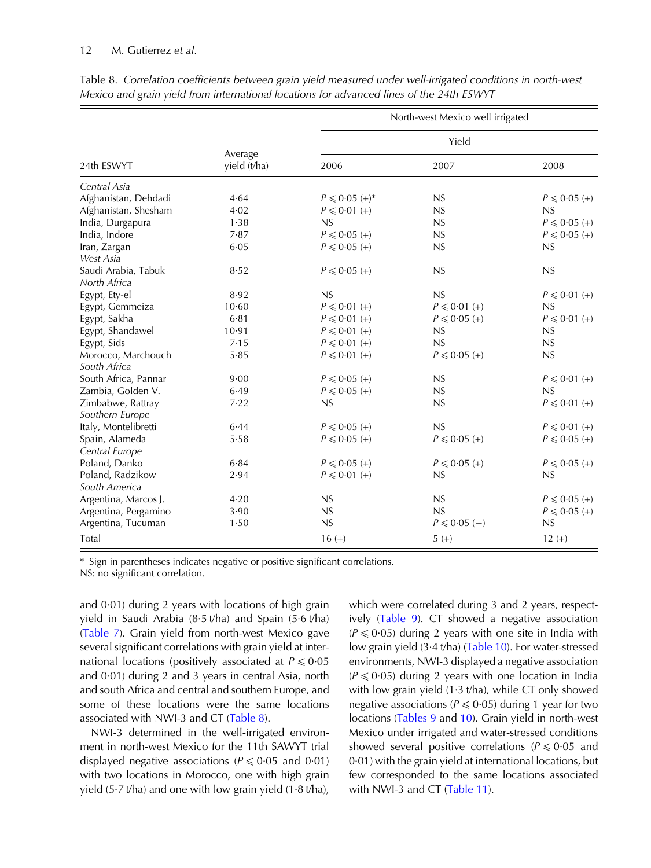## 12 M. Gutierrez et al.

|                      |                         | North-west Mexico well irrigated |                  |                  |  |  |
|----------------------|-------------------------|----------------------------------|------------------|------------------|--|--|
|                      |                         |                                  | Yield            |                  |  |  |
| 24th FSWYT           | Average<br>yield (t/ha) | 2006                             | 2007             | 2008             |  |  |
| Central Asia         |                         |                                  |                  |                  |  |  |
| Afghanistan, Dehdadi | 4.64                    | $P \le 0.05 (+)^*$               | NS               | $P \le 0.05 (+)$ |  |  |
| Afghanistan, Shesham | 4.02                    | $P \le 0.01 (+)$                 | NS               | NS               |  |  |
| India, Durgapura     | 1.38                    | NS                               | NS               | $P \le 0.05 (+)$ |  |  |
| India, Indore        | 7.87                    | $P \le 0.05 (+)$                 | NS               | $P \le 0.05 (+)$ |  |  |
| Iran, Zargan         | 6.05                    | $P \le 0.05 (+)$                 | NS               | NS               |  |  |
| West Asia            |                         |                                  |                  |                  |  |  |
| Saudi Arabia, Tabuk  | 8.52                    | $P \le 0.05 (+)$                 | NS               | NS               |  |  |
| North Africa         |                         |                                  |                  |                  |  |  |
| Egypt, Ety-el        | 8.92                    | NS                               | NS               | $P \le 0.01 (+)$ |  |  |
| Egypt, Gemmeiza      | 10.60                   | $P \le 0.01 (+)$                 | $P \le 0.01 (+)$ | NS               |  |  |
| Egypt, Sakha         | 6.81                    | $P \le 0.01 (+)$                 | $P \le 0.05 (+)$ | $P \le 0.01 (+)$ |  |  |
| Egypt, Shandawel     | 10.91                   | $P \le 0.01 (+)$                 | NS               | NS               |  |  |
| Egypt, Sids          | 7.15                    | $P \le 0.01 (+)$                 | NS               | NS               |  |  |
| Morocco, Marchouch   | 5.85                    | $P \le 0.01 (+)$                 | $P \le 0.05 (+)$ | NS               |  |  |
| South Africa         |                         |                                  |                  |                  |  |  |
| South Africa, Pannar | 9.00                    | $P \le 0.05 (+)$                 | NS               | $P \le 0.01 (+)$ |  |  |
| Zambia, Golden V.    | 6.49                    | $P \le 0.05 (+)$                 | NS               | NS               |  |  |
| Zimbabwe, Rattray    | 7.22                    | NS                               | NS               | $P \le 0.01 (+)$ |  |  |
| Southern Europe      |                         |                                  |                  |                  |  |  |
| Italy, Montelibretti | 6.44                    | $P \le 0.05 (+)$                 | NS               | $P \le 0.01 (+)$ |  |  |
| Spain, Alameda       | 5.58                    | $P \le 0.05 (+)$                 | $P \le 0.05 (+)$ | $P \le 0.05 (+)$ |  |  |
| Central Europe       |                         |                                  |                  |                  |  |  |
| Poland, Danko        | 6.84                    | $P \le 0.05 (+)$                 | $P \le 0.05 (+)$ | $P \le 0.05 (+)$ |  |  |
| Poland, Radzikow     | 2.94                    | $P \le 0.01 (+)$                 | NS               | NS               |  |  |
| South America        |                         |                                  |                  |                  |  |  |
| Argentina, Marcos J. | 4.20                    | NS                               | NS               | $P \le 0.05 (+)$ |  |  |
| Argentina, Pergamino | 3.90                    | NS                               | NS               | $P \le 0.05 (+)$ |  |  |
| Argentina, Tucuman   | 1.50                    | NS                               | $P \le 0.05$ (-) | NS               |  |  |
| Total                |                         | $16 (+)$                         | $5 (+)$          | $12 (+)$         |  |  |

Table 8. Correlation coefficients between grain yield measured under well-irrigated conditions in north-west Mexico and grain yield from international locations for advanced lines of the 24th ESWYT

\* Sign in parentheses indicates negative or positive significant correlations.

NS: no significant correlation.

and 0·01) during 2 years with locations of high grain yield in Saudi Arabia (8·5 t/ha) and Spain (5·6 t/ha) ([Table 7](#page-10-0)). Grain yield from north-west Mexico gave several significant correlations with grain yield at international locations (positively associated at  $P \le 0.05$ and 0·01) during 2 and 3 years in central Asia, north and south Africa and central and southern Europe, and some of these locations were the same locations associated with NWI-3 and CT (Table 8).

NWI-3 determined in the well-irrigated environment in north-west Mexico for the 11th SAWYT trial displayed negative associations ( $P \le 0.05$  and 0.01) with two locations in Morocco, one with high grain yield (5 $\cdot$ 7 t/ha) and one with low grain yield (1 $\cdot$ 8 t/ha),

which were correlated during 3 and 2 years, respectively [\(Table 9\)](#page-12-0). CT showed a negative association  $(P \le 0.05)$  during 2 years with one site in India with low grain yield (3·4 t/ha) ([Table 10\)](#page-13-0). For water-stressed environments, NWI-3 displayed a negative association  $(P \le 0.05)$  during 2 years with one location in India with low grain yield  $(1.3 \text{ t/ha})$ , while CT only showed negative associations ( $P \le 0.05$ ) during 1 year for two locations [\(Tables 9](#page-12-0) and [10](#page-13-0)). Grain yield in north-west Mexico under irrigated and water-stressed conditions showed several positive correlations ( $P \le 0.05$  and 0·01) with the grain yield at international locations, but few corresponded to the same locations associated with NWI-3 and CT [\(Table 11\)](#page-14-0).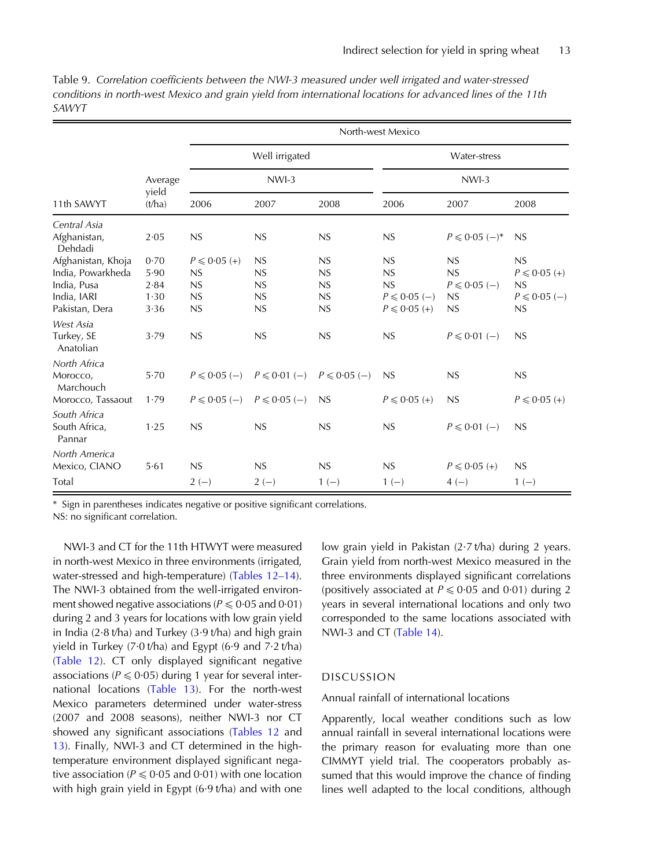|                         |                 | North-west Mexico |                  |                  |                  |                   |                   |  |
|-------------------------|-----------------|-------------------|------------------|------------------|------------------|-------------------|-------------------|--|
|                         |                 |                   | Well irrigated   |                  | Water-stress     |                   |                   |  |
|                         | Average         |                   | $NWI-3$          |                  |                  | $NWI-3$           |                   |  |
| 11th SAWYT              | yield<br>(t/ha) | 2006              | 2007             | 2008             | 2006             | 2007              | 2008              |  |
| Central Asia            |                 |                   |                  |                  |                  |                   |                   |  |
| Afghanistan,<br>Dehdadi | 2.05            | NS                | NS               | NS               | NS               | $P \le 0.05$ (-)* | NS                |  |
| Afghanistan, Khoja      | 0.70            | $P \le 0.05 (+)$  | NS               | NS               | NS               | NS                | NS                |  |
| India, Powarkheda       | 5.90            | NS                | NS               | NS               | NS               | NS                | $P \le 0.05 (+)$  |  |
| India, Pusa             | 2.84            | NS                | NS               | NS               | NS               | $P \le 0.05$ (-)  | NS                |  |
| India, IARI             | 1.30            | NS                | NS               | NS               | $P \le 0.05$ (-) | NS                | $P \leq 0.05$ (-) |  |
| Pakistan, Dera          | 3.36            | NS                | NS               | NS               | $P \le 0.05 (+)$ | NS                | NS                |  |
| West Asia               |                 |                   |                  |                  |                  |                   |                   |  |
| Turkey, SE<br>Anatolian | 3.79            | NS                | NS               | NS               | NS               | $P \le 0.01$ (-)  | NS                |  |
| North Africa            |                 |                   |                  |                  |                  |                   |                   |  |
| Morocco,<br>Marchouch   | 5.70            | $P \le 0.05$ (-)  | $P \le 0.01$ (-) | $P \le 0.05$ (-) | NS               | NS                | NS                |  |
| Morocco, Tassaout       | 1.79            | $P \le 0.05$ (-)  | $P \le 0.05$ (-) | NS               | $P \le 0.05 (+)$ | NS                | $P \le 0.05 (+)$  |  |
| South Africa            |                 |                   |                  |                  |                  |                   |                   |  |
| South Africa,<br>Pannar | 1.25            | NS                | NS               | NS               | NS               | $P \le 0.01$ (-)  | NS                |  |
| North America           |                 |                   |                  |                  |                  |                   |                   |  |
| Mexico, CIANO           | 5.61            | NS                | NS               | NS               | NS               | $P \le 0.05 (+)$  | NS                |  |
| Total                   |                 | $2(-)$            | $2(-)$           | $1(-)$           | $1(-)$           | $4(-)$            | $1(-)$            |  |

<span id="page-12-0"></span>Table 9. Correlation coefficients between the NWI-3 measured under well irrigated and water-stressed conditions in north-west Mexico and grain yield from international locations for advanced lines of the 11th SAWYT

Sign in parentheses indicates negative or positive significant correlations.

NS: no significant correlation.

NWI-3 and CT for the 11th HTWYT were measured in north-west Mexico in three environments (irrigated, water-stressed and high-temperature) ([Tables 12](#page-15-0)–14). The NWI-3 obtained from the well-irrigated environment showed negative associations ( $P \le 0.05$  and 0.01) during 2 and 3 years for locations with low grain yield in India (2 $\cdot$ 8 t/ha) and Turkey (3 $\cdot$ 9 t/ha) and high grain yield in Turkey (7·0 t/ha) and Egypt (6·9 and 7·2 t/ha) ([Table 12](#page-15-0)). CT only displayed significant negative associations ( $P \le 0.05$ ) during 1 year for several international locations [\(Table 13\)](#page-16-0). For the north-west Mexico parameters determined under water-stress (2007 and 2008 seasons), neither NWI-3 nor CT showed any significant associations [\(Tables 12](#page-15-0) and [13](#page-16-0)). Finally, NWI-3 and CT determined in the hightemperature environment displayed significant negative association ( $P \le 0.05$  and 0.01) with one location with high grain yield in Egypt (6·9 t/ha) and with one

low grain yield in Pakistan (2·7 t/ha) during 2 years. Grain yield from north-west Mexico measured in the three environments displayed significant correlations (positively associated at  $P \le 0.05$  and 0.01) during 2 years in several international locations and only two corresponded to the same locations associated with NWI-3 and CT ([Table 14](#page-17-0)).

## DISCUSSION

## Annual rainfall of international locations

Apparently, local weather conditions such as low annual rainfall in several international locations were the primary reason for evaluating more than one CIMMYT yield trial. The cooperators probably assumed that this would improve the chance of finding lines well adapted to the local conditions, although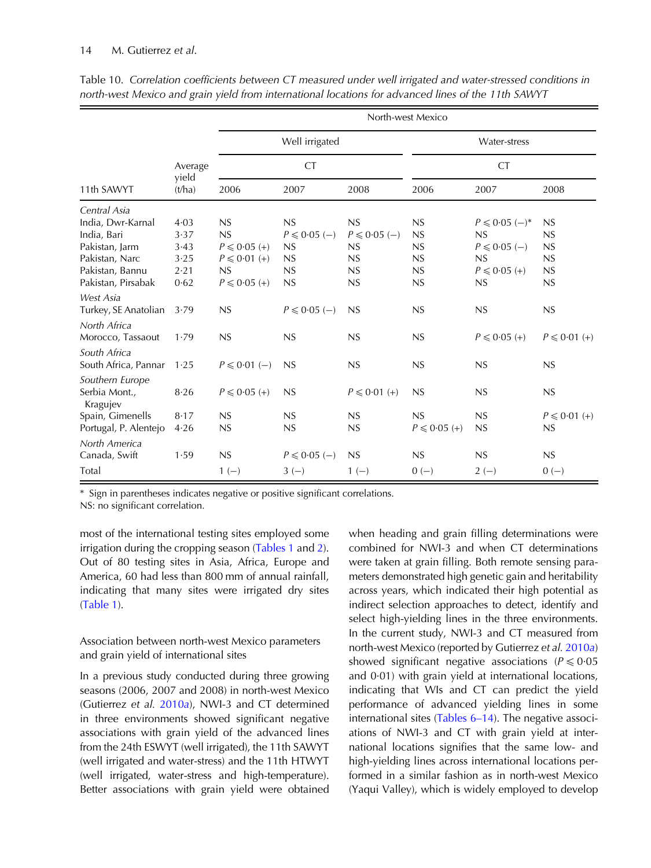|                                  |                 | North-west Mexico |                   |                   |                  |                   |                  |  |  |
|----------------------------------|-----------------|-------------------|-------------------|-------------------|------------------|-------------------|------------------|--|--|
|                                  |                 |                   | Well irrigated    |                   | Water-stress     |                   |                  |  |  |
|                                  | Average         | <b>CT</b>         |                   |                   | <b>CT</b>        |                   |                  |  |  |
| 11th SAWYT                       | yield<br>(t/ha) | 2006              | 2007              | 2008              | 2006             | 2007              | 2008             |  |  |
| Central Asia                     |                 |                   |                   |                   |                  |                   |                  |  |  |
| India, Dwr-Karnal                | 4.03            | NS                | NS                | NS                | NS               | $P \le 0.05$ (-)* | NS               |  |  |
| India, Bari                      | 3.37            | NS                | $P \le 0.05$ (-)  | $P \leq 0.05$ (-) | NS               | NS                | NS               |  |  |
| Pakistan, Jarm                   | 3.43            | $P \le 0.05 (+)$  | NS                | NS                | NS               | $P \le 0.05$ (-)  | NS               |  |  |
| Pakistan, Narc                   | 3.25            | $P \le 0.01 (+)$  | NS                | NS                | NS               | NS                | NS               |  |  |
| Pakistan, Bannu                  | 2.21            | NS                | NS                | NS                | NS               | $P \le 0.05 (+)$  | NS               |  |  |
| Pakistan, Pirsabak               | 0.62            | $P \le 0.05 (+)$  | NS                | NS                | NS               | NS                | NS               |  |  |
| West Asia                        |                 |                   |                   |                   |                  |                   |                  |  |  |
| Turkey, SE Anatolian             | 3.79            | NS                | $P \le 0.05$ (-)  | NS                | NS               | NS                | NS               |  |  |
| North Africa                     |                 |                   |                   |                   |                  |                   |                  |  |  |
| Morocco, Tassaout                | 1.79            | NS                | NS                | NS                | NS               | $P \le 0.05 (+)$  | $P \le 0.01 (+)$ |  |  |
| South Africa                     |                 |                   |                   |                   |                  |                   |                  |  |  |
| South Africa, Pannar             | 1.25            | $P \le 0.01$ (-)  | NS                | NS                | NS               | NS                | NS               |  |  |
|                                  |                 |                   |                   |                   |                  |                   |                  |  |  |
| Southern Europe<br>Serbia Mont., | 8.26            | $P \le 0.05 (+)$  | NS                | $P \le 0.01 (+)$  | NS               | NS                | NS               |  |  |
| Kragujev                         |                 |                   |                   |                   |                  |                   |                  |  |  |
| Spain, Gimenells                 | 8.17            | NS                | NS                | NS                | NS               | NS                | $P \le 0.01 (+)$ |  |  |
| Portugal, P. Alentejo            | 4.26            | NS                | NS                | NS                | $P \le 0.05 (+)$ | NS                | NS               |  |  |
| North America                    |                 |                   |                   |                   |                  |                   |                  |  |  |
| Canada, Swift                    | 1.59            | NS                | $P \leq 0.05$ (-) | NS                | NS               | NS                | NS               |  |  |
| Total                            |                 |                   |                   |                   |                  |                   |                  |  |  |
|                                  |                 | $1(-)$            | $3(-)$            | $1(-)$            | $0 (-)$          | $2(-)$            | $0 (-)$          |  |  |

<span id="page-13-0"></span>Table 10. Correlation coefficients between CT measured under well irrigated and water-stressed conditions in north-west Mexico and grain yield from international locations for advanced lines of the 11th SAWYT

\* Sign in parentheses indicates negative or positive significant correlations.

NS: no significant correlation.

most of the international testing sites employed some irrigation during the cropping season ([Tables 1](#page-4-0) and [2\)](#page-5-0). Out of 80 testing sites in Asia, Africa, Europe and America, 60 had less than 800 mm of annual rainfall, indicating that many sites were irrigated dry sites ([Table 1\)](#page-4-0).

Association between north-west Mexico parameters and grain yield of international sites

In a previous study conducted during three growing seasons (2006, 2007 and 2008) in north-west Mexico (Gutierrez et al. [2010](#page-19-0)a), NWI-3 and CT determined in three environments showed significant negative associations with grain yield of the advanced lines from the 24th ESWYT (well irrigated), the 11th SAWYT (well irrigated and water-stress) and the 11th HTWYT (well irrigated, water-stress and high-temperature). Better associations with grain yield were obtained when heading and grain filling determinations were combined for NWI-3 and when CT determinations were taken at grain filling. Both remote sensing parameters demonstrated high genetic gain and heritability across years, which indicated their high potential as indirect selection approaches to detect, identify and select high-yielding lines in the three environments. In the current study, NWI-3 and CT measured from north-west Mexico (reported by Gutierrez et al. [2010](#page-19-0)a) showed significant negative associations ( $P \le 0.05$ and 0·01) with grain yield at international locations, indicating that WIs and CT can predict the yield performance of advanced yielding lines in some international sites ([Tables 6](#page-9-0)–14). The negative associations of NWI-3 and CT with grain yield at international locations signifies that the same low- and high-yielding lines across international locations performed in a similar fashion as in north-west Mexico (Yaqui Valley), which is widely employed to develop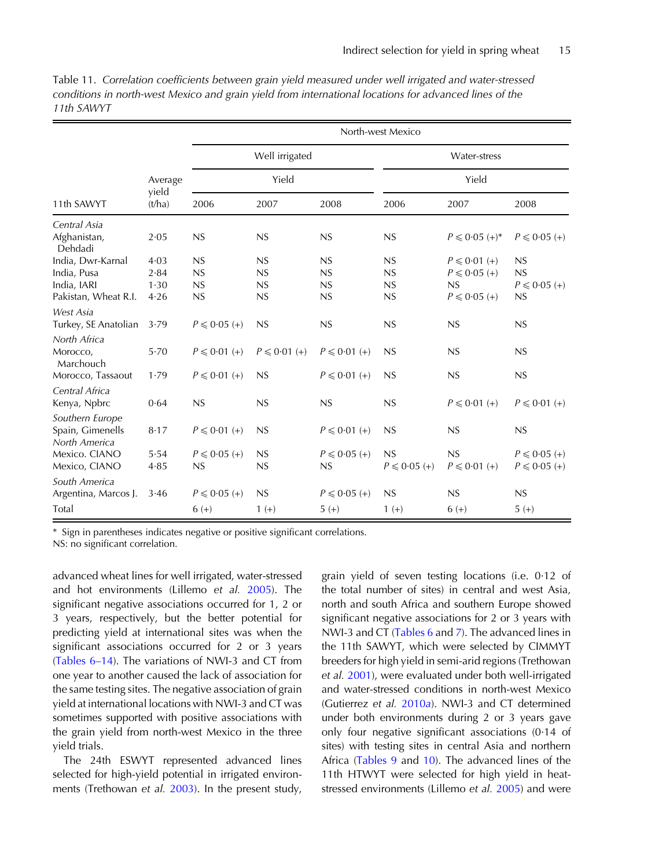|                                   |                            | North-west Mexico |                  |                  |                       |                    |                  |  |  |
|-----------------------------------|----------------------------|-------------------|------------------|------------------|-----------------------|--------------------|------------------|--|--|
|                                   | Average<br>yield<br>(t/ha) |                   | Well irrigated   |                  | Water-stress<br>Yield |                    |                  |  |  |
| 11th SAWYT                        |                            |                   | Yield            |                  |                       |                    |                  |  |  |
|                                   |                            | 2006              | 2007             | 2008             | 2006                  | 2007               | 2008             |  |  |
| Central Asia                      |                            |                   |                  |                  |                       |                    |                  |  |  |
| Afghanistan,<br>Dehdadi           | 2.05                       | NS                | NS               | NS               | NS                    | $P \le 0.05 (+)^*$ | $P \le 0.05 (+)$ |  |  |
| India, Dwr-Karnal                 | 4.03                       | NS                | NS               | NS               | NS                    | $P \le 0.01 (+)$   | NS               |  |  |
| India, Pusa                       | 2.84                       | NS                | NS               | NS               | NS                    | $P \le 0.05 (+)$   | NS               |  |  |
| India, IARI                       | 1.30                       | NS                | NS               | NS               | NS                    | NS                 | $P \le 0.05 (+)$ |  |  |
| Pakistan, Wheat R.I.              | 4.26                       | NS                | NS               | NS               | NS                    | $P \le 0.05 (+)$   | NS               |  |  |
| West Asia                         |                            |                   |                  |                  |                       |                    |                  |  |  |
| Turkey, SE Anatolian              | 3.79                       | $P \le 0.05 (+)$  | NS               | NS               | NS                    | NS                 | NS               |  |  |
| North Africa                      |                            |                   |                  |                  |                       |                    |                  |  |  |
| Morocco,<br>Marchouch             | 5.70                       | $P \le 0.01 (+)$  | $P \le 0.01 (+)$ | $P \le 0.01 (+)$ | NS                    | NS                 | NS               |  |  |
| Morocco, Tassaout                 | 1.79                       | $P \leq 0.01$ (+) | NS               | $P \le 0.01 (+)$ | NS                    | NS                 | NS               |  |  |
| Central Africa                    |                            |                   |                  |                  |                       |                    |                  |  |  |
| Kenya, Npbrc                      | 0.64                       | NS                | NS               | NS               | NS                    | $P \le 0.01 (+)$   | $P \le 0.01 (+)$ |  |  |
| Southern Europe                   |                            |                   |                  |                  |                       |                    |                  |  |  |
| Spain, Gimenells<br>North America | 8.17                       | $P \le 0.01 (+)$  | NS               | $P \le 0.01 (+)$ | NS                    | NS                 | NS               |  |  |
| Mexico. CIANO                     | 5.54                       | $P \le 0.05 (+)$  | NS               | $P \le 0.05 (+)$ | NS                    | NS                 | $P \le 0.05 (+)$ |  |  |
| Mexico, CIANO                     | 4.85                       | NS                | NS               | NS               | $P \le 0.05 (+)$      | $P \le 0.01 (+)$   | $P \le 0.05 (+)$ |  |  |
| South America                     |                            |                   |                  |                  |                       |                    |                  |  |  |
| Argentina, Marcos J.              | 3.46                       | $P \le 0.05 (+)$  | NS               | $P \le 0.05 (+)$ | NS                    | NS                 | NS               |  |  |
| Total                             |                            | $6 (+)$           | $1 (+)$          | $5 (+)$          | $1 (+)$               | $6 (+)$            | $5 (+)$          |  |  |

<span id="page-14-0"></span>Table 11. Correlation coefficients between grain yield measured under well irrigated and water-stressed conditions in north-west Mexico and grain yield from international locations for advanced lines of the 11th SAWYT

Sign in parentheses indicates negative or positive significant correlations.

NS: no significant correlation.

advanced wheat lines for well irrigated, water-stressed and hot environments (Lillemo et al. [2005](#page-20-0)). The significant negative associations occurred for 1, 2 or 3 years, respectively, but the better potential for predicting yield at international sites was when the significant associations occurred for 2 or 3 years ([Tables 6](#page-9-0)–14). The variations of NWI-3 and CT from one year to another caused the lack of association for the same testing sites. The negative association of grain yield at international locations with NWI-3 and CT was sometimes supported with positive associations with the grain yield from north-west Mexico in the three yield trials.

The 24th ESWYT represented advanced lines selected for high-yield potential in irrigated environ-ments (Trethowan et al. [2003\)](#page-20-0). In the present study,

grain yield of seven testing locations (i.e. 0·12 of the total number of sites) in central and west Asia, north and south Africa and southern Europe showed significant negative associations for 2 or 3 years with NWI-3 and CT ([Tables 6](#page-9-0) and [7](#page-10-0)). The advanced lines in the 11th SAWYT, which were selected by CIMMYT breeders for high yield in semi-arid regions (Trethowan et al. [2001\)](#page-20-0), were evaluated under both well-irrigated and water-stressed conditions in north-west Mexico (Gutierrez et al. [2010](#page-19-0)a). NWI-3 and CT determined under both environments during 2 or 3 years gave only four negative significant associations (0·14 of sites) with testing sites in central Asia and northern Africa [\(Tables 9](#page-12-0) and [10](#page-13-0)). The advanced lines of the 11th HTWYT were selected for high yield in heatstressed environments (Lillemo et al. [2005](#page-20-0)) and were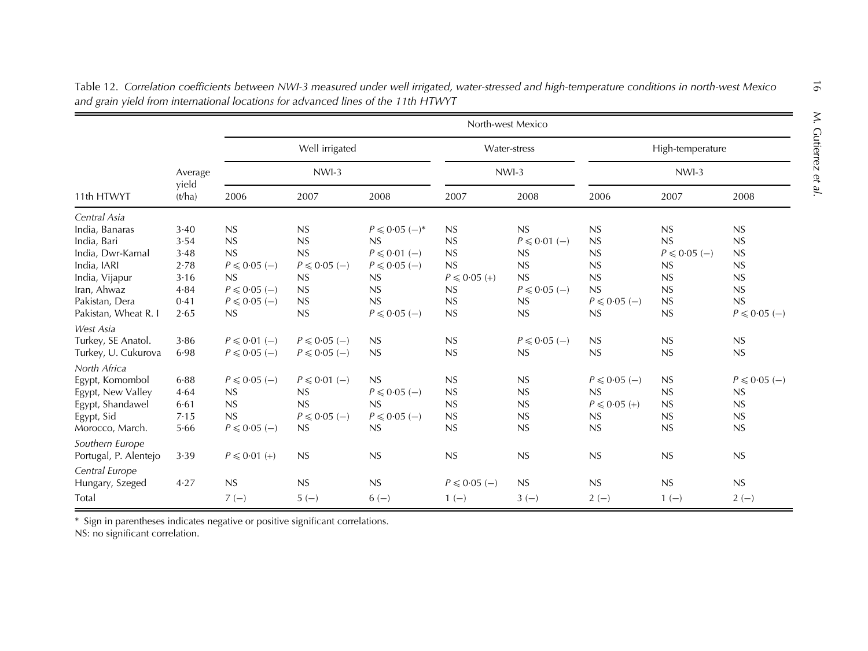| 11th HTWYT            | Average<br>yield<br>(t/ha) | North-west Mexico |                  |                   |                  |                  |                  |                  |                  |
|-----------------------|----------------------------|-------------------|------------------|-------------------|------------------|------------------|------------------|------------------|------------------|
|                       |                            | Well irrigated    |                  |                   | Water-stress     |                  | High-temperature |                  |                  |
|                       |                            |                   | NWI-3            |                   | $NWI-3$          |                  | $NWI-3$          |                  |                  |
|                       |                            | 2006              | 2007             | 2008              | 2007             | 2008             | 2006             | 2007             | 2008             |
| Central Asia          |                            |                   |                  |                   |                  |                  |                  |                  |                  |
| India, Banaras        | 3.40                       | NS                | NS               | $P \le 0.05$ (-)* | <b>NS</b>        | NS               | NS               | NS               | NS               |
| India, Bari           | 3.54                       | NS                | NS               | NS                | NS               | $P \le 0.01$ (-) | NS               | NS               | NS               |
| India, Dwr-Karnal     | 3.48                       | NS                | NS               | $P \le 0.01$ (-)  | NS               | NS               | NS               | $P \le 0.05$ (-) | <b>NS</b>        |
| India, IARI           | 2.78                       | $P \le 0.05$ (-)  | $P \le 0.05$ (-) | $P \le 0.05$ (-)  | NS               | NS               | NS               | NS               | <b>NS</b>        |
| India, Vijapur        | 3.16                       | NS                | NS               | NS                | $P \le 0.05 (+)$ | NS               | NS               | NS               | <b>NS</b>        |
| Iran, Ahwaz           | 4.84                       | $P \le 0.05$ (-)  | NS               | <b>NS</b>         | NS               | $P \le 0.05$ (-) | NS               | NS               | NS               |
| Pakistan, Dera        | 0.41                       | $P \le 0.05$ (-)  | NS               | NS                | NS               | NS               | $P \le 0.05$ (-) | NS               | NS               |
| Pakistan, Wheat R. I  | 2.65                       | NS                | NS               | $P \le 0.05$ (-)  | NS               | NS               | NS               | NS               | $P \le 0.05$ (-) |
| West Asia             |                            |                   |                  |                   |                  |                  |                  |                  |                  |
| Turkey, SE Anatol.    | 3.86                       | $P \le 0.01$ (-)  | $P \le 0.05$ (-) | NS                | <b>NS</b>        | $P \le 0.05$ (-) | NS               | NS               | NS               |
| Turkey, U. Cukurova   | 6.98                       | $P \le 0.05$ (-)  | $P \le 0.05$ (-) | NS                | NS               | NS               | NS               | NS               | NS               |
| North Africa          |                            |                   |                  |                   |                  |                  |                  |                  |                  |
| Egypt, Komombol       | 6.88                       | $P \le 0.05$ (-)  | $P \le 0.01$ (-) | NS                | <b>NS</b>        | NS               | $P \le 0.05$ (-) | NS               | $P \le 0.05$ (-) |
| Egypt, New Valley     | 4.64                       | NS                | NS               | $P \le 0.05$ (-)  | <b>NS</b>        | NS               | NS               | <b>NS</b>        | NS               |
| Egypt, Shandawel      | 6.61                       | NS                | NS               | NS                | <b>NS</b>        | NS               | $P \le 0.05 (+)$ | NS               | NS               |
| Egypt, Sid            | 7.15                       | NS                | $P \le 0.05$ (-) | $P \le 0.05$ (-)  | NS               | NS               | NS               | NS               | NS               |
| Morocco, March.       | 5.66                       | $P \le 0.05$ (-)  | NS               | NS                | NS               | NS               | NS               | NS               | NS               |
| Southern Europe       |                            |                   |                  |                   |                  |                  |                  |                  |                  |
| Portugal, P. Alentejo | 3.39                       | $P \le 0.01 (+)$  | NS               | NS                | <b>NS</b>        | NS               | NS               | NS               | NS               |
| Central Europe        |                            |                   |                  |                   |                  |                  |                  |                  |                  |
| Hungary, Szeged       | 4.27                       | NS                | NS               | NS                | $P \le 0.05$ (-) | NS               | NS               | NS               | NS               |
| Total                 |                            | $7(-)$            | $5(-)$           | $6(-)$            | $1(-)$           | $3(-)$           | $2(-)$           | $1(-)$           | $2(-)$           |

<span id="page-15-0"></span>Table 12. Correlation coefficients between NWI-3 measured under well irrigated, water-stressed and high-temperature conditions in north-west Mexico and grain yield from international locations for advanced lines of the 11th HTWYT

\* Sign in parentheses indicates negative or positive significant correlations.

NS: no significant correlation.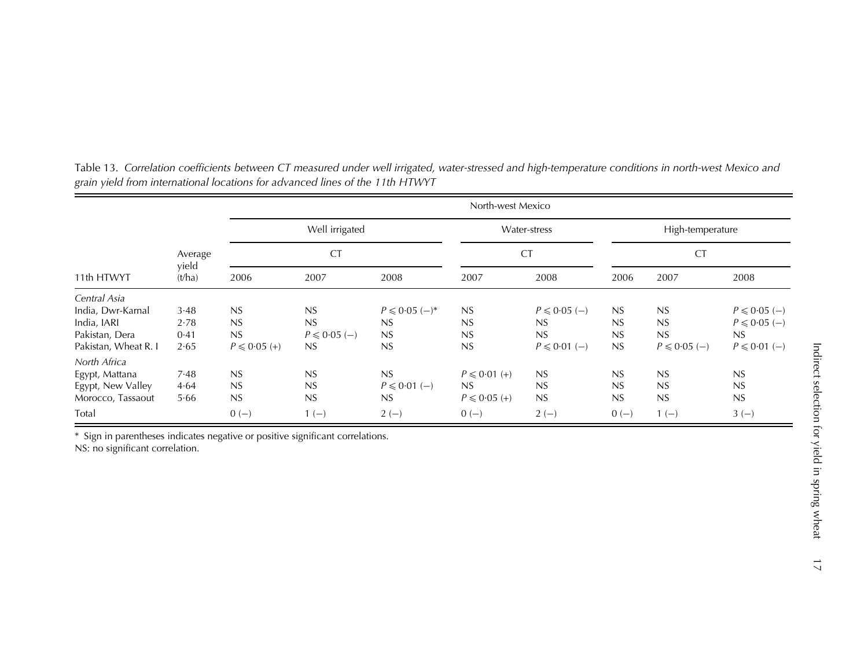|                      |                 |                             | North-west Mexico |                   |                           |                  |                               |                  |                  |  |
|----------------------|-----------------|-----------------------------|-------------------|-------------------|---------------------------|------------------|-------------------------------|------------------|------------------|--|
|                      |                 | Well irrigated<br><b>CT</b> |                   |                   | Water-stress<br><b>CT</b> |                  | High-temperature<br><b>CT</b> |                  |                  |  |
|                      | Average         |                             |                   |                   |                           |                  |                               |                  |                  |  |
| 11th HTWYT           | yield<br>(t/ha) | 2006                        | 2007              | 2008              | 2007                      | 2008             | 2006                          | 2007             | 2008             |  |
| Central Asia         |                 |                             |                   |                   |                           |                  |                               |                  |                  |  |
| India, Dwr-Karnal    | 3.48            | NS                          | NS                | $P \le 0.05$ (-)* | NS                        | $P \le 0.05$ (-) | NS                            | NS               | $P \le 0.05$ (-) |  |
| India, IARI          | 2.78            | NS                          | NS                | NS                | NS                        | NS               | NS                            | NS               | $P \le 0.05$ (-) |  |
| Pakistan, Dera       | 0.41            | NS                          | $P \le 0.05$ (-)  | NS                | NS                        | NS               | NS                            | NS               | NS               |  |
| Pakistan, Wheat R. I | 2.65            | $P \le 0.05 (+)$            | NS                | NS                | NS                        | $P \le 0.01$ (-) | NS                            | $P \le 0.05$ (-) | $P \le 0.01$ (-) |  |
| North Africa         |                 |                             |                   |                   |                           |                  |                               |                  |                  |  |
| Egypt, Mattana       | 7.48            | NS                          | NS                | NS                | $P \le 0.01 (+)$          | NS               | NS                            | NS               | NS               |  |
| Egypt, New Valley    | 4.64            | NS                          | NS                | $P \le 0.01$ (-)  | NS                        | NS               | NS                            | NS               | NS               |  |
| Morocco, Tassaout    | 5.66            | NS                          | NS                | NS                | $P \le 0.05 (+)$          | NS               | NS                            | NS               | NS               |  |
| Total                |                 | $0 (-)$                     | $1(-)$            | $2(-)$            | $0(-)$                    | $2(-)$           | $0(-)$                        | $1(-)$           | $3(-)$           |  |

<span id="page-16-0"></span>Table 13. Correlation coefficients between CT measured under well irrigated, water-stressed and high-temperature conditions in north-west Mexico and grain yield from international locations for advanced lines of the 11th HTWYT

\* Sign in parentheses indicates negative or positive significant correlations.

NS: no significant correlation.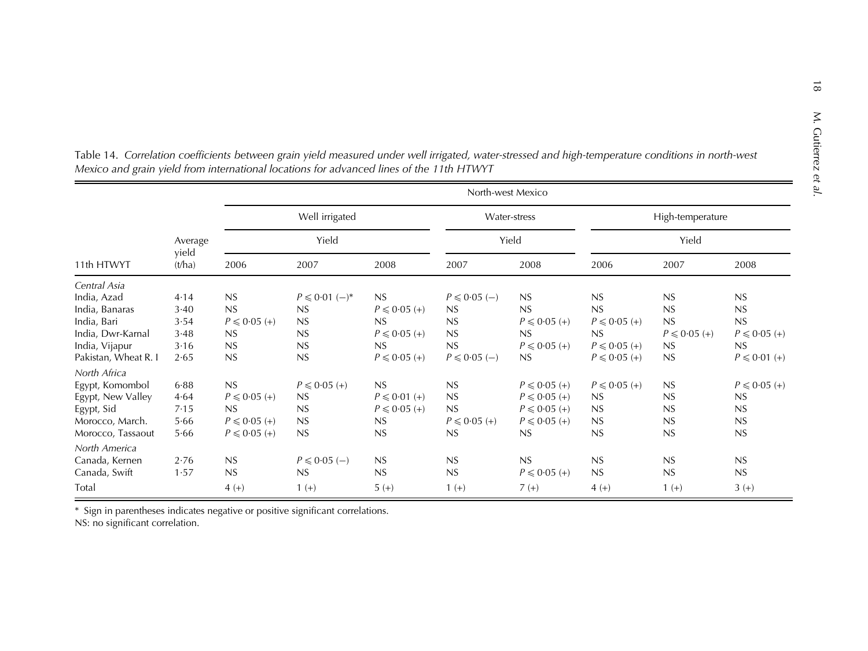| 11th HTWYT           | Average<br>yield<br>(t/ha) | North-west Mexico       |                   |                  |                  |                  |                  |                  |                  |
|----------------------|----------------------------|-------------------------|-------------------|------------------|------------------|------------------|------------------|------------------|------------------|
|                      |                            | Well irrigated<br>Yield |                   |                  | Water-stress     |                  | High-temperature |                  |                  |
|                      |                            |                         |                   |                  |                  | Yield            | Yield            |                  |                  |
|                      |                            | 2006                    | 2007              | 2008             | 2007             | 2008             | 2006             | 2007             | 2008             |
| Central Asia         |                            |                         |                   |                  |                  |                  |                  |                  |                  |
| India, Azad          | 4.14                       | NS                      | $P \le 0.01$ (-)* | NS               | $P \le 0.05$ (-) | NS               | NS               | <b>NS</b>        | NS               |
| India, Banaras       | 3.40                       | NS                      | NS                | $P \le 0.05 (+)$ | NS               | <b>NS</b>        | NS               | NS               | NS               |
| India, Bari          | 3.54                       | $P \le 0.05 (+)$        | NS                | NS               | <b>NS</b>        | $P \le 0.05 (+)$ | $P \le 0.05 (+)$ | NS               | NS               |
| India, Dwr-Karnal    | 3.48                       | NS                      | NS                | $P \le 0.05 (+)$ | NS               | NS               | NS               | $P \le 0.05 (+)$ | $P \le 0.05 (+)$ |
| India, Vijapur       | 3.16                       | NS                      | NS                | NS               | <b>NS</b>        | $P \le 0.05 (+)$ | $P \le 0.05 (+)$ | NS               | NS               |
| Pakistan, Wheat R. I | 2.65                       | NS                      | NS                | $P \le 0.05 (+)$ | $P \le 0.05$ (-) | NS               | $P \le 0.05 (+)$ | NS               | $P \le 0.01 (+)$ |
| North Africa         |                            |                         |                   |                  |                  |                  |                  |                  |                  |
| Egypt, Komombol      | 6.88                       | NS                      | $P \le 0.05 (+)$  | NS               | NS               | $P \le 0.05 (+)$ | $P \le 0.05 (+)$ | <b>NS</b>        | $P \le 0.05 (+)$ |
| Egypt, New Valley    | 4.64                       | $P \le 0.05 (+)$        | NS                | $P \le 0.01 (+)$ | NS               | $P \le 0.05 (+)$ | NS               | <b>NS</b>        | NS               |
| Egypt, Sid           | 7.15                       | NS                      | NS                | $P \le 0.05 (+)$ | NS               | $P \le 0.05 (+)$ | NS               | <b>NS</b>        | NS               |
| Morocco, March.      | 5.66                       | $P \le 0.05 (+)$        | NS                | NS               | $P \le 0.05 (+)$ | $P \le 0.05 (+)$ | NS               | <b>NS</b>        | NS               |
| Morocco, Tassaout    | 5.66                       | $P \le 0.05 (+)$        | NS                | NS               | NS               | <b>NS</b>        | NS               | <b>NS</b>        | NS               |
| North America        |                            |                         |                   |                  |                  |                  |                  |                  |                  |
| Canada, Kernen       | 2.76                       | NS                      | $P \leq 0.05$ (-) | NS               | NS               | NS               | <b>NS</b>        | <b>NS</b>        | NS               |
| Canada, Swift        | 1.57                       | NS                      | NS                | <b>NS</b>        | <b>NS</b>        | $P \le 0.05 (+)$ | NS               | <b>NS</b>        | NS               |
| Total                |                            | $4 (+)$                 | $1 (+)$           | $5 (+)$          | $1 (+)$          | $7 (+)$          | $4 (+)$          | $1 (+)$          | $3 (+)$          |

<span id="page-17-0"></span>Table 14. Correlation coefficients between grain yield measured under well irrigated, water-stressed and high-temperature conditions in north-west Mexico and grain yield from international locations for advanced lines of the 11th HTWYT

\* Sign in parentheses indicates negative or positive significant correlations. NS: no significant correlation.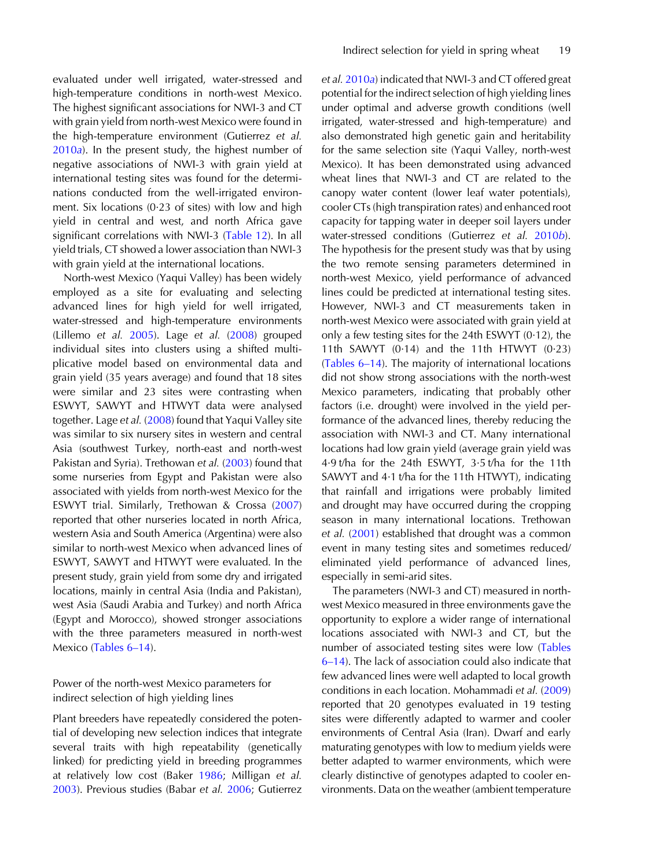evaluated under well irrigated, water-stressed and high-temperature conditions in north-west Mexico. The highest significant associations for NWI-3 and CT with grain yield from north-west Mexico were found in the high-temperature environment (Gutierrez et al. [2010](#page-19-0)a). In the present study, the highest number of negative associations of NWI-3 with grain yield at international testing sites was found for the determinations conducted from the well-irrigated environment. Six locations  $(0.23 \text{ of sites})$  with low and high yield in central and west, and north Africa gave significant correlations with NWI-3 ([Table 12\)](#page-15-0). In all yield trials, CT showed a lower association than NWI-3 with grain yield at the international locations.

North-west Mexico (Yaqui Valley) has been widely employed as a site for evaluating and selecting advanced lines for high yield for well irrigated, water-stressed and high-temperature environments (Lillemo et al. [2005\)](#page-20-0). Lage et al. [\(2008](#page-20-0)) grouped individual sites into clusters using a shifted multiplicative model based on environmental data and grain yield (35 years average) and found that 18 sites were similar and 23 sites were contrasting when ESWYT, SAWYT and HTWYT data were analysed together. Lage et al. ([2008\)](#page-20-0) found that Yaqui Valley site was similar to six nursery sites in western and central Asia (southwest Turkey, north-east and north-west Pakistan and Syria). Trethowan et al. [\(2003](#page-20-0)) found that some nurseries from Egypt and Pakistan were also associated with yields from north-west Mexico for the ESWYT trial. Similarly, Trethowan & Crossa [\(2007](#page-20-0)) reported that other nurseries located in north Africa, western Asia and South America (Argentina) were also similar to north-west Mexico when advanced lines of ESWYT, SAWYT and HTWYT were evaluated. In the present study, grain yield from some dry and irrigated locations, mainly in central Asia (India and Pakistan), west Asia (Saudi Arabia and Turkey) and north Africa (Egypt and Morocco), showed stronger associations with the three parameters measured in north-west Mexico ([Tables 6](#page-9-0)–14).

Power of the north-west Mexico parameters for indirect selection of high yielding lines

Plant breeders have repeatedly considered the potential of developing new selection indices that integrate several traits with high repeatability (genetically linked) for predicting yield in breeding programmes at relatively low cost (Baker [1986;](#page-19-0) Milligan et al. [2003](#page-20-0)). Previous studies (Babar et al. [2006;](#page-19-0) Gutierrez

et al. [2010](#page-19-0)a) indicated that NWI-3 and CT offered great potential for the indirect selection of high yielding lines under optimal and adverse growth conditions (well irrigated, water-stressed and high-temperature) and also demonstrated high genetic gain and heritability for the same selection site (Yaqui Valley, north-west Mexico). It has been demonstrated using advanced wheat lines that NWI-3 and CT are related to the canopy water content (lower leaf water potentials), cooler CTs (high transpiration rates) and enhanced root capacity for tapping water in deeper soil layers under water-stressed conditions (Gutierrez et al. [2010](#page-20-0)b). The hypothesis for the present study was that by using the two remote sensing parameters determined in north-west Mexico, yield performance of advanced lines could be predicted at international testing sites. However, NWI-3 and CT measurements taken in north-west Mexico were associated with grain yield at only a few testing sites for the 24th ESWYT (0·12), the 11th SAWYT  $(0.14)$  and the 11th HTWYT  $(0.23)$ ([Tables 6](#page-9-0)–14). The majority of international locations did not show strong associations with the north-west Mexico parameters, indicating that probably other factors (i.e. drought) were involved in the yield performance of the advanced lines, thereby reducing the association with NWI-3 and CT. Many international locations had low grain yield (average grain yield was 4·9 t/ha for the 24th ESWYT, 3·5 t/ha for the 11th SAWYT and 4·1 t/ha for the 11th HTWYT), indicating that rainfall and irrigations were probably limited and drought may have occurred during the cropping season in many international locations. Trethowan et al. ([2001\)](#page-20-0) established that drought was a common event in many testing sites and sometimes reduced/ eliminated yield performance of advanced lines, especially in semi-arid sites.

The parameters (NWI-3 and CT) measured in northwest Mexico measured in three environments gave the opportunity to explore a wider range of international locations associated with NWI-3 and CT, but the number of associated testing sites were low ([Tables](#page-9-0) 6–[14\)](#page-9-0). The lack of association could also indicate that few advanced lines were well adapted to local growth conditions in each location. Mohammadi et al. [\(2009](#page-20-0)) reported that 20 genotypes evaluated in 19 testing sites were differently adapted to warmer and cooler environments of Central Asia (Iran). Dwarf and early maturating genotypes with low to medium yields were better adapted to warmer environments, which were clearly distinctive of genotypes adapted to cooler environments. Data on the weather (ambient temperature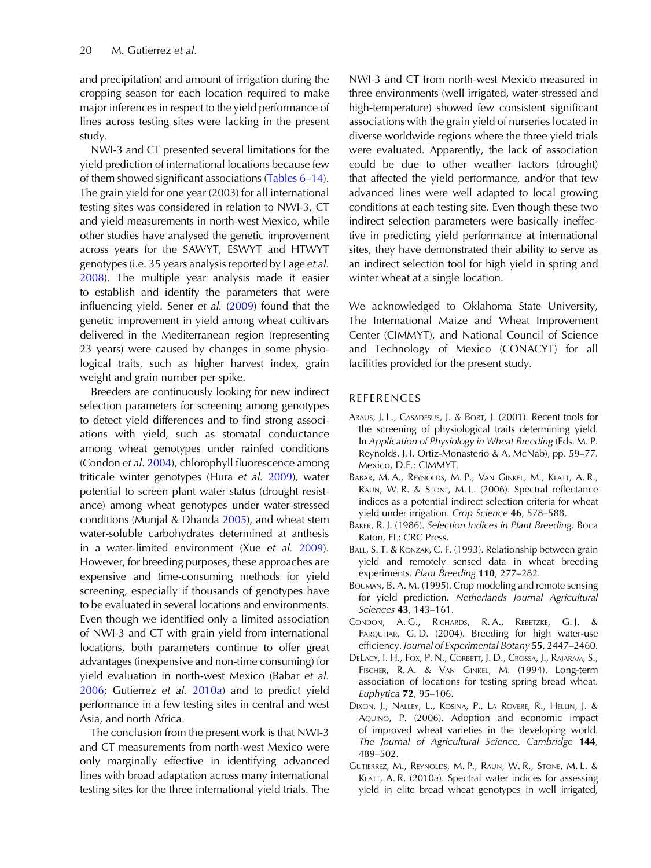<span id="page-19-0"></span>and precipitation) and amount of irrigation during the cropping season for each location required to make major inferences in respect to the yield performance of lines across testing sites were lacking in the present study.

NWI-3 and CT presented several limitations for the yield prediction of international locations because few of them showed significant associations [\(Tables 6](#page-9-0)–14). The grain yield for one year (2003) for all international testing sites was considered in relation to NWI-3, CT and yield measurements in north-west Mexico, while other studies have analysed the genetic improvement across years for the SAWYT, ESWYT and HTWYT genotypes (i.e. 35 years analysis reported by Lage et al. [2008](#page-20-0)). The multiple year analysis made it easier to establish and identify the parameters that were influencing yield. Sener et al. ([2009\)](#page-20-0) found that the genetic improvement in yield among wheat cultivars delivered in the Mediterranean region (representing 23 years) were caused by changes in some physiological traits, such as higher harvest index, grain weight and grain number per spike.

Breeders are continuously looking for new indirect selection parameters for screening among genotypes to detect yield differences and to find strong associations with yield, such as stomatal conductance among wheat genotypes under rainfed conditions (Condon et al. 2004), chlorophyll fluorescence among triticale winter genotypes (Hura et al. [2009](#page-20-0)), water potential to screen plant water status (drought resistance) among wheat genotypes under water-stressed conditions (Munjal & Dhanda [2005\)](#page-20-0), and wheat stem water-soluble carbohydrates determined at anthesis in a water-limited environment (Xue et al. [2009\)](#page-20-0). However, for breeding purposes, these approaches are expensive and time-consuming methods for yield screening, especially if thousands of genotypes have to be evaluated in several locations and environments. Even though we identified only a limited association of NWI-3 and CT with grain yield from international locations, both parameters continue to offer great advantages (inexpensive and non-time consuming) for yield evaluation in north-west Mexico (Babar et al. 2006; Gutierrez et al. 2010a) and to predict yield performance in a few testing sites in central and west Asia, and north Africa.

The conclusion from the present work is that NWI-3 and CT measurements from north-west Mexico were only marginally effective in identifying advanced lines with broad adaptation across many international testing sites for the three international yield trials. The

NWI-3 and CT from north-west Mexico measured in three environments (well irrigated, water-stressed and high-temperature) showed few consistent significant associations with the grain yield of nurseries located in diverse worldwide regions where the three yield trials were evaluated. Apparently, the lack of association could be due to other weather factors (drought) that affected the yield performance, and/or that few advanced lines were well adapted to local growing conditions at each testing site. Even though these two indirect selection parameters were basically ineffective in predicting yield performance at international sites, they have demonstrated their ability to serve as an indirect selection tool for high yield in spring and winter wheat at a single location.

We acknowledged to Oklahoma State University, The International Maize and Wheat Improvement Center (CIMMYT), and National Council of Science and Technology of Mexico (CONACYT) for all facilities provided for the present study.

## REFERENCES

- ARAUS, J. L., CASADESUS, J. & BORT, J. (2001). Recent tools for the screening of physiological traits determining yield. In Application of Physiology in Wheat Breeding (Eds. M. P. Reynolds, J. I. Ortiz-Monasterio & A. McNab), pp. 59–77. Mexico, D.F.: CIMMYT.
- BABAR, M. A., REYNOLDS, M. P., VAN GINKEL, M., KLATT, A. R., RAUN, W. R. & STONE, M. L. (2006). Spectral reflectance indices as a potential indirect selection criteria for wheat yield under irrigation. Crop Science 46, 578–588.
- BAKER, R. J. (1986). Selection Indices in Plant Breeding. Boca Raton, FL: CRC Press.
- BALL, S. T. & KONZAK, C. F. (1993). Relationship between grain yield and remotely sensed data in wheat breeding experiments. Plant Breeding 110, 277–282.
- BOUMAN, B. A. M. (1995). Crop modeling and remote sensing for yield prediction. Netherlands Journal Agricultural Sciences 43, 143–161.
- CONDON, A. G., RICHARDS, R. A., REBETZKE, G. J. & FARQUHAR, G. D. (2004). Breeding for high water-use efficiency. Journal of Experimental Botany 55, 2447–2460.
- DELACY, I. H., FOX, P. N., CORBETT, J. D., CROSSA, J., RAJARAM, S., FISCHER, R. A. & VAN GINKEL, M. (1994). Long-term association of locations for testing spring bread wheat. Euphytica 72, 95–106.
- DIXON, J., NALLEY, L., KOSINA, P., LA ROVERE, R., HELLIN, J. & AQUINO, P. (2006). Adoption and economic impact of improved wheat varieties in the developing world. The Journal of Agricultural Science, Cambridge 144, 489–502.
- GUTIERREZ, M., REYNOLDS, M. P., RAUN, W. R., STONE, M. L. & KLATT, A. R. (2010a). Spectral water indices for assessing yield in elite bread wheat genotypes in well irrigated,